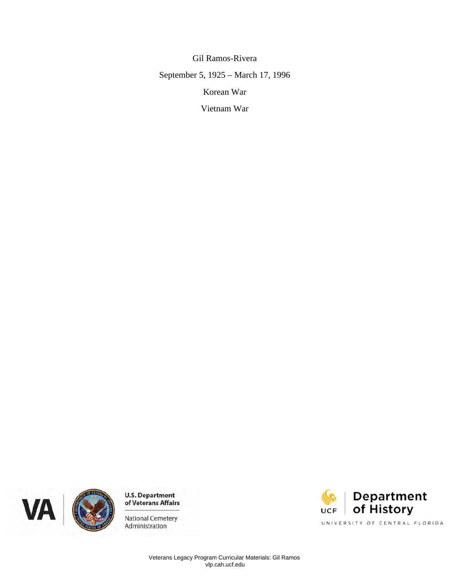Gil Ramos-Rivera September 5, 1925 – March 17, 1996 Korean War

Vietnam War





Administration

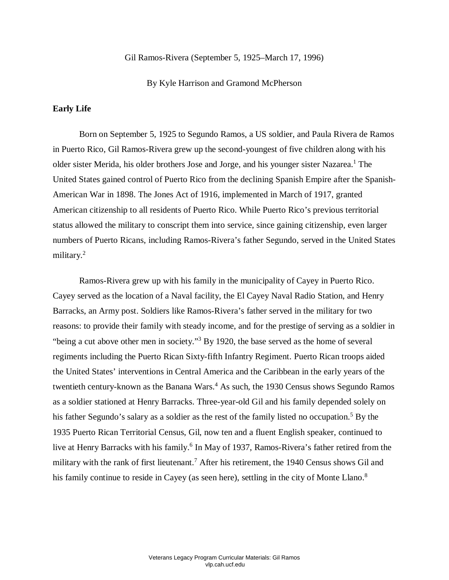#### Gil Ramos-Rivera (September 5, 1925–March 17, 1996)

By Kyle Harrison and Gramond McPherson

### **Early Life**

 American War in 1898. The Jones Act of 1916, implemented in March of 1917, granted status allowed the military to conscript them into service, since gaining citizenship, even larger military.<sup>2</sup> Born on September 5, 1925 to Segundo Ramos, a US soldier, and Paula Rivera de Ramos in Puerto Rico, Gil Ramos-Rivera grew up the second-youngest of five children along with his older sister Merida, his older brothers Jose and Jorge, and his younger sister Nazarea.<sup>1</sup> The United States gained control of Puerto Rico from the declining Spanish Empire after the Spanish-American citizenship to all residents of Puerto Rico. While Puerto Rico's previous territorial numbers of Puerto Ricans, including Ramos-Rivera's father Segundo, served in the United States

 Ramos-Rivera grew up with his family in the municipality of Cayey in Puerto Rico. Barracks, an Army post. Soldiers like Ramos-Rivera's father served in the military for two reasons: to provide their family with steady income, and for the prestige of serving as a soldier in "being a cut above other men in society."<sup>3</sup> By 1920, the base served as the home of several his father Segundo's salary as a soldier as the rest of the family listed no occupation.<sup>5</sup> By the 1935 Puerto Rican Territorial Census, Gil, now ten and a fluent English speaker, continued to military with the rank of first lieutenant.<sup>7</sup> After his retirement, the 1940 Census shows Gil and Cayey served as the location of a Naval facility, the El Cayey Naval Radio Station, and Henry regiments including the Puerto Rican Sixty-fifth Infantry Regiment. Puerto Rican troops aided the United States' interventions in Central America and the Caribbean in the early years of the twentieth century-known as the Banana Wars. 4 As such, the 1930 Census shows Segundo Ramos as a soldier stationed at Henry Barracks. Three-year-old Gil and his family depended solely on live at Henry Barracks with his family. 6 In May of 1937, Ramos-Rivera's father retired from the his family continue to reside in Cayey (as seen here), settling in the city of Monte Llano.<sup>8</sup>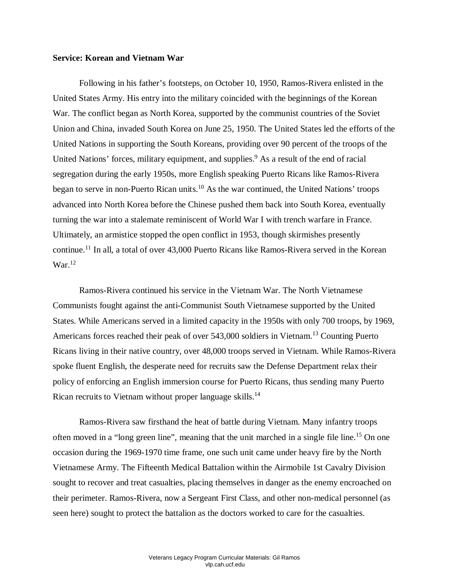#### **Service: Korean and Vietnam War**

 Following in his father's footsteps, on October 10, 1950, Ramos-Rivera enlisted in the United States Army. His entry into the military coincided with the beginnings of the Korean Union and China, invaded South Korea on June 25, 1950. The United States led the efforts of the advanced into North Korea before the Chinese pushed them back into South Korea, eventually turning the war into a stalemate reminiscent of World War I with trench warfare in France. War. The conflict began as North Korea, supported by the communist countries of the Soviet United Nations in supporting the South Koreans, providing over 90 percent of the troops of the United Nations' forces, military equipment, and supplies. 9 As a result of the end of racial segregation during the early 1950s, more English speaking Puerto Ricans like Ramos-Rivera began to serve in non-Puerto Rican units.<sup>10</sup> As the war continued, the United Nations' troops Ultimately, an armistice stopped the open conflict in 1953, though skirmishes presently continue.<sup>11</sup> In all, a total of over 43,000 Puerto Ricans like Ramos-Rivera served in the Korean  $\text{War.}^{12}$ 

 Ricans living in their native country, over 48,000 troops served in Vietnam. While Ramos-Rivera Rican recruits to Vietnam without proper language skills.<sup>14</sup> Ramos-Rivera continued his service in the Vietnam War. The North Vietnamese Communists fought against the anti-Communist South Vietnamese supported by the United States. While Americans served in a limited capacity in the 1950s with only 700 troops, by 1969, Americans forces reached their peak of over 543,000 soldiers in Vietnam.<sup>13</sup> Counting Puerto spoke fluent English, the desperate need for recruits saw the Defense Department relax their policy of enforcing an English immersion course for Puerto Ricans, thus sending many Puerto

often moved in a "long green line", meaning that the unit marched in a single file line.<sup>15</sup> On one occasion during the 1969-1970 time frame, one such unit came under heavy fire by the North seen here) sought to protect the battalion as the doctors worked to care for the casualties. Ramos-Rivera saw firsthand the heat of battle during Vietnam. Many infantry troops Vietnamese Army. The Fifteenth Medical Battalion within the Airmobile 1st Cavalry Division sought to recover and treat casualties, placing themselves in danger as the enemy encroached on their perimeter. Ramos-Rivera, now a Sergeant First Class, and other non-medical personnel (as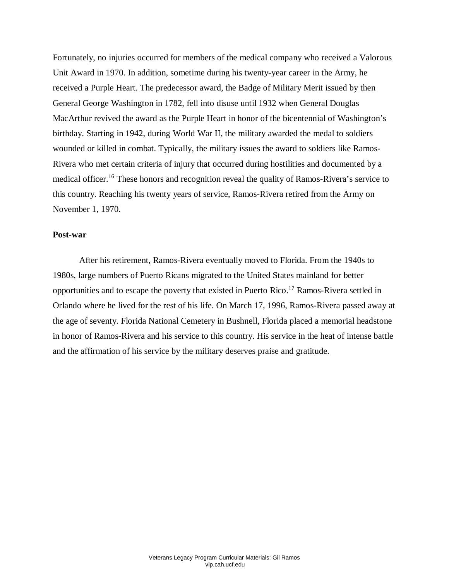received a Purple Heart. The predecessor award, the Badge of Military Merit issued by then birthday. Starting in 1942, during World War II, the military awarded the medal to soldiers wounded or killed in combat. Typically, the military issues the award to soldiers like Ramos- this country. Reaching his twenty years of service, Ramos-Rivera retired from the Army on Fortunately, no injuries occurred for members of the medical company who received a Valorous Unit Award in 1970. In addition, sometime during his twenty-year career in the Army, he General George Washington in 1782, fell into disuse until 1932 when General Douglas MacArthur revived the award as the Purple Heart in honor of the bicentennial of Washington's Rivera who met certain criteria of injury that occurred during hostilities and documented by a medical officer.<sup>16</sup> These honors and recognition reveal the quality of Ramos-Rivera's service to November 1, 1970.

## **Post-war**

 opportunities and to escape the poverty that existed in Puerto Rico. 17 Ramos-Rivera settled in Orlando where he lived for the rest of his life. On March 17, 1996, Ramos-Rivera passed away at in honor of Ramos-Rivera and his service to this country. His service in the heat of intense battle After his retirement, Ramos-Rivera eventually moved to Florida. From the 1940s to 1980s, large numbers of Puerto Ricans migrated to the United States mainland for better the age of seventy. Florida National Cemetery in Bushnell, Florida placed a memorial headstone and the affirmation of his service by the military deserves praise and gratitude.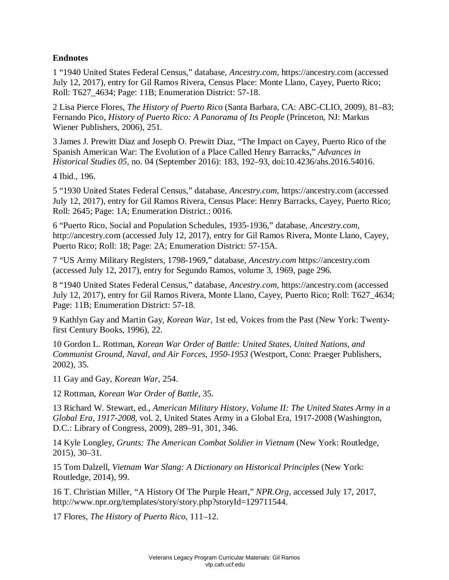# **Endnotes**

 1 "1940 United States Federal Census," database, *Ancestry.com*, https://ancestry.com (accessed Roll: T627\_4634; Page: 11B; Enumeration District: 57-18. July 12, 2017), entry for Gil Ramos Rivera, Census Place: Monte Llano, Cayey, Puerto Rico;

2 Lisa Pierce Flores, *The History of Puerto Rico* (Santa Barbara, CA: ABC-CLIO, 2009), 81–83; Fernando Pico, *History of Puerto Rico: A Panorama of Its People* (Princeton, NJ: Markus Wiener Publishers, 2006), 251.

 Spanish American War: The Evolution of a Place Called Henry Barracks," *Advances in*  3 James J. Prewitt Diaz and Joseph O. Prewitt Diaz, "The Impact on Cayey, Puerto Rico of the *Historical Studies 05*, no. 04 (September 2016): 183, 192–93, doi:10.4236/ahs.2016.54016.

4 Ibid., 196.

5 "1930 United States Federal Census," database, *Ancestry.com*, https://ancestry.com (accessed July 12, 2017), entry for Gil Ramos Rivera, Census Place: Henry Barracks, Cayey, Puerto Rico; Roll: 2645; Page: 1A; Enumeration District.: 0016.

6 "Puerto Rico, Social and Population Schedules, 1935-1936," database, *Ancestry.com*, http://ancestry.com (accessed July 12, 2017), entry for Gil Ramos Rivera, Monte Llano, Cayey, Puerto Rico; Roll: 18; Page: 2A; Enumeration District: 57-15A.

7 "US Army Military Registers, 1798-1969," database, *Ancestry.com* https://ancestry.com (accessed July 12, 2017), entry for Segundo Ramos, volume 3, 1969, page 296.

8 "1940 United States Federal Census," database, *Ancestry.com*, https://ancestry.com (accessed July 12, 2017), entry for Gil Ramos Rivera, Monte Llano, Cayey, Puerto Rico; Roll: T627\_4634; Page: 11B; Enumeration District: 57-18.

9 Kathlyn Gay and Martin Gay, *Korean War*, 1st ed, Voices from the Past (New York: Twentyfirst Century Books, 1996), 22.

10 Gordon L. Rottman, *Korean War Order of Battle: United States, United Nations, and Communist Ground, Naval, and Air Forces, 1950-1953* (Westport, Conn: Praeger Publishers, 2002), 35.

11 Gay and Gay, *Korean War*, 254.

12 Rottman, *Korean War Order of Battle*, 35.

13 Richard W. Stewart, ed., *American Military History, Volume II: The United States Army in a Global Era, 1917-2008*, vol. 2, United States Army in a Global Era, 1917-2008 (Washington, D.C.: Library of Congress, 2009), 289–91, 301, 346.

14 Kyle Longley, *Grunts: The American Combat Soldier in Vietnam* (New York: Routledge, 2015), 30–31.

15 Tom Dalzell, *Vietnam War Slang: A Dictionary on Historical Principles* (New York: Routledge, 2014), 99.

16 T. Christian Miller, "A History Of The Purple Heart," *NPR.Org*, accessed July 17, 2017, http://www.npr.org/templates/story/story.php?storyId=129711544.

17 Flores, *The History of Puerto Rico*, 111–12.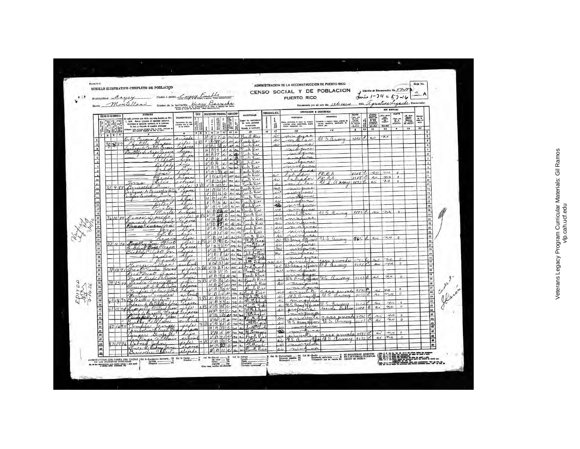| e of |                                                                                 | Municipalidad Cayey                                        | MODELO ILUSTRATIVO COMPLETO DE POBLACION<br>Montelland                                                                                                                              |                                     | Ciudad a pueblo Camin number of a<br>Nombre de la institución Henry Barracks |                |                                                                                                                                                                                                                                                                                                                                                                                                                                                       |       |                                                                                                                                                                                                                                                                                                                                                                                                                                                                                 |             |                           | PUERTO RICO                                                                                                                                 | CENSO SOCIAL Y DE POBLACION<br>Enumerado por mi este dia 13 de enero     |                                                                                                                                                                                                                                                                                                                                                                                                                                        |                                  | Distrito de Enumeración No. 57-/5<br>due 1-24 = 57-16<br>1835, agustina Ligarde, Emmersion |                                       |                                                                                                                                          | ハ               |                                           |
|------|---------------------------------------------------------------------------------|------------------------------------------------------------|-------------------------------------------------------------------------------------------------------------------------------------------------------------------------------------|-------------------------------------|------------------------------------------------------------------------------|----------------|-------------------------------------------------------------------------------------------------------------------------------------------------------------------------------------------------------------------------------------------------------------------------------------------------------------------------------------------------------------------------------------------------------------------------------------------------------|-------|---------------------------------------------------------------------------------------------------------------------------------------------------------------------------------------------------------------------------------------------------------------------------------------------------------------------------------------------------------------------------------------------------------------------------------------------------------------------------------|-------------|---------------------------|---------------------------------------------------------------------------------------------------------------------------------------------|--------------------------------------------------------------------------|----------------------------------------------------------------------------------------------------------------------------------------------------------------------------------------------------------------------------------------------------------------------------------------------------------------------------------------------------------------------------------------------------------------------------------------|----------------------------------|--------------------------------------------------------------------------------------------|---------------------------------------|------------------------------------------------------------------------------------------------------------------------------------------|-----------------|-------------------------------------------|
|      |                                                                                 |                                                            | <b>NOMSEE</b>                                                                                                                                                                       |                                     |                                                                              |                | <b>CASA   DESCRIPCION PERSONAL EDUCACION</b>                                                                                                                                                                                                                                                                                                                                                                                                          |       | <b>WATIVEDAD</b>                                                                                                                                                                                                                                                                                                                                                                                                                                                                |             | CIUDADANIA, ETC.          |                                                                                                                                             | OCUPACIÓN E INDUSTRIA                                                    | <b>CLAVE</b>                                                                                                                                                                                                                                                                                                                                                                                                                           |                                  | SIN EMPLEO                                                                                 |                                       |                                                                                                                                          |                 |                                           |
|      |                                                                                 | LUCAR DE RESIDENCIA<br>1255<br>ili<br>Historia<br>Historia | de cada persona que vivía con esta familla en Dic.<br>1, 1936. Anote primera el apellido paterno, entonces el apellido materno el la persona (o uta, y después el nombre cristiano) |                                     | PARENTES00<br>Parenteneo de esta<br>cous eta el la                           | 護請             | $\begin{tabular}{ c c } \hline & \multicolumn{1}{ c }{\multicolumn{1}{ c }{\multicolumn{1}{ c }{\multicolumn{1}{ c }{\multicolumn{1}{ c }{\multicolumn{1}{ c }{\multicolumn{1}{c }{\multicolumn{1}{c }{\multicolumn{1}{c }{\multicolumn{1}{c }{\multicolumn{1}{c }{\multicolumn{1}{c }{\multicolumn{1}{c }{\multicolumn{1}{c }{\multicolumn{1}{c }{\multicolumn{1}{c }{\multicolumn{1}{c }{\multicolumn{1}{c }{\multicolumn{1}{c }{\multicolumn{1}{c$ |       | de cada persons<br>enumerada<br>Estado 6 territorio                                                                                                                                                                                                                                                                                                                                                                                                                             |             | <b>Big</b>                | <b>OCUPACION</b><br>cio, profestão à clasa da<br>especial, como mayordimie<br>espacial, como mayordinio,<br>diante, sacogodor, etc.<br>6424 | <b>INDUSTRIA</b><br>actess, mer                                          | $\begin{array}{r} \textbf{1.} \textbf{Part} & \textbf{1.} \textbf{1.} \textbf{1.} \textbf{1.} \textbf{1.} \textbf{1.} \textbf{1.} \textbf{1.} \textbf{1.} \textbf{1.} \textbf{1.} \textbf{1.} \textbf{1.} \textbf{1.} \textbf{1.} \textbf{1.} \textbf{1.} \textbf{1.} \textbf{1.} \textbf{1.} \textbf{1.} \textbf{1.} \textbf{1.} \textbf{1.} \textbf{1.} \textbf{1.} \textbf{1.} \textbf{1.} \textbf$<br>20<br>$\boldsymbol{\lambda}$ | mente entities<br>(810 B0)<br>21 | Third also<br>Although<br>Third State<br>Construction<br>(81 o Mo)<br>11                   | Pars and<br>offers<br>automotive<br>۰ | $\begin{array}{ c c }\hline 10 & 4440 \\ \hline 105033 \\ 105033 \\ 105033 \\ 105034 \\ 105034 \\ \hline \end{array}$<br>$\overline{33}$ | $\overline{24}$ |                                           |
|      |                                                                                 | Alialia<br>1237                                            | diyase toda persona viviante Dic. 1, 1036. Omituae                                                                                                                                  |                                     |                                                                              |                | 78910112                                                                                                                                                                                                                                                                                                                                                                                                                                              | 13 14 | $\overline{B}$<br>Preste Rice                                                                                                                                                                                                                                                                                                                                                                                                                                                   | 16          | 17<br>s                   | 18<br>nin                                                                                                                                   | 19                                                                       |                                                                                                                                                                                                                                                                                                                                                                                                                                        |                                  | no                                                                                         |                                       |                                                                                                                                          |                 | T<br>$\overline{a}$                       |
|      | $\mathbf{1}$                                                                    |                                                            | Ortiz Carnen Lydia<br>Castillo Pascon<br>Tastaquet Castillo Carne                                                                                                                   |                                     | 11101                                                                        | 05             | $H_{B37}^{B}$ and six                                                                                                                                                                                                                                                                                                                                                                                                                                 |       | west Ris                                                                                                                                                                                                                                                                                                                                                                                                                                                                        |             | si                        | Oitar<br>as<br>m<br>na                                                                                                                      | M. S. army                                                               | 7893C                                                                                                                                                                                                                                                                                                                                                                                                                                  | si                               |                                                                                            |                                       |                                                                                                                                          |                 | $\overline{\cdot}$                        |
|      | $\mathbf{a}$                                                                    | 35882                                                      |                                                                                                                                                                                     |                                     | legare                                                                       |                | $H(B) 28 \sim 10^{2} \text{ s}$<br>$H[B]Q$ $\Delta a$                                                                                                                                                                                                                                                                                                                                                                                                 |       | Puerto Rio<br>Lusto Rice                                                                                                                                                                                                                                                                                                                                                                                                                                                        |             | si                        | france                                                                                                                                      |                                                                          |                                                                                                                                                                                                                                                                                                                                                                                                                                        |                                  |                                                                                            |                                       |                                                                                                                                          |                 | $\overline{1}$<br>$\overline{\mathbf{5}}$ |
|      | $\lambda$<br>5                                                                  |                                                            | Caroliello Santiago acas                                                                                                                                                            | dilda                               | ua<br>ja                                                                     |                |                                                                                                                                                                                                                                                                                                                                                                                                                                                       |       | $\frac{\mu}{\mu}$ $\frac{\beta}{\beta}$ of a sign function<br>$\frac{\nu}{\beta}$ $\frac{\beta}{\beta}$ of a sign function                                                                                                                                                                                                                                                                                                                                                      |             |                           | manna                                                                                                                                       |                                                                          |                                                                                                                                                                                                                                                                                                                                                                                                                                        |                                  |                                                                                            |                                       |                                                                                                                                          |                 | $\mathfrak{g}$                            |
|      | $\overline{a}$                                                                  |                                                            |                                                                                                                                                                                     |                                     | hips                                                                         |                |                                                                                                                                                                                                                                                                                                                                                                                                                                                       |       |                                                                                                                                                                                                                                                                                                                                                                                                                                                                                 |             |                           | ouna                                                                                                                                        |                                                                          |                                                                                                                                                                                                                                                                                                                                                                                                                                        |                                  |                                                                                            |                                       |                                                                                                                                          |                 | $\overline{\mathbf{r}}$                   |
|      |                                                                                 |                                                            |                                                                                                                                                                                     | Oclock<br>$\mathcal{L}$             | $\tau$<br>$\overline{\boldsymbol{\mu}}$                                      |                | $VB2h$ more                                                                                                                                                                                                                                                                                                                                                                                                                                           |       | Kurt Ries                                                                                                                                                                                                                                                                                                                                                                                                                                                                       |             |                           | minguna                                                                                                                                     |                                                                          |                                                                                                                                                                                                                                                                                                                                                                                                                                        |                                  |                                                                                            |                                       |                                                                                                                                          |                 |                                           |
|      |                                                                                 |                                                            |                                                                                                                                                                                     | avei                                |                                                                              |                | V   B   R   R                                                                                                                                                                                                                                                                                                                                                                                                                                         |       | Prent Ric<br>V B 25 2 no si juito Rico                                                                                                                                                                                                                                                                                                                                                                                                                                          |             |                           | ah                                                                                                                                          | PRRA                                                                     | V1V8                                                                                                                                                                                                                                                                                                                                                                                                                                   | si                               | $\sim$<br>no                                                                               | $\theta$<br>$\theta$                  |                                                                                                                                          |                 | in<br>n                                   |
|      |                                                                                 |                                                            | Tima                                                                                                                                                                                | Peri<br>enís                        | <i><b>LOLL H</b></i><br>trino                                                |                |                                                                                                                                                                                                                                                                                                                                                                                                                                                       |       | V 1 21 s/ no si laute the                                                                                                                                                                                                                                                                                                                                                                                                                                                       |             | si                        | hado<br>$-1$<br>itar                                                                                                                        | PREA UNIVE                                                               | V1V8                                                                                                                                                                                                                                                                                                                                                                                                                                   | ei.<br>$\alpha$                  | $\infty$                                                                                   | $\mathfrak{d}$                        |                                                                                                                                          |                 | ia.<br>13                                 |
|      | $\mathbf{u}$<br>12.                                                             | 35 9 88                                                    |                                                                                                                                                                                     | Price                               | <u>20</u>                                                                    |                |                                                                                                                                                                                                                                                                                                                                                                                                                                                       |       | $2054843$ Cropin Puesto Vier<br>$H935C$ no see Prests River                                                                                                                                                                                                                                                                                                                                                                                                                     |             | $\Delta$<br>n             | m<br>minguas                                                                                                                                |                                                                          |                                                                                                                                                                                                                                                                                                                                                                                                                                        |                                  |                                                                                            |                                       |                                                                                                                                          |                 | 14                                        |
|      | 13.                                                                             |                                                            | tagens Cericoches.                                                                                                                                                                  | aztazena de Bencockes Cuta<br>Cuile | ispora                                                                       |                |                                                                                                                                                                                                                                                                                                                                                                                                                                                       |       | Puesto Rico                                                                                                                                                                                                                                                                                                                                                                                                                                                                     |             | فند<br>$\lambda$          | ningenna<br>aisterma                                                                                                                        |                                                                          |                                                                                                                                                                                                                                                                                                                                                                                                                                        |                                  |                                                                                            |                                       |                                                                                                                                          |                 | 15.<br>16                                 |
|      | 14<br>$\frac{15}{16}$                                                           |                                                            |                                                                                                                                                                                     | are                                 | hija                                                                         |                |                                                                                                                                                                                                                                                                                                                                                                                                                                                       |       | $H$ B $H$ a sign Punto River<br>V B N s sisifunts lies                                                                                                                                                                                                                                                                                                                                                                                                                          |             | si                        | marina                                                                                                                                      |                                                                          |                                                                                                                                                                                                                                                                                                                                                                                                                                        |                                  |                                                                                            |                                       |                                                                                                                                          |                 | $17^{\circ}$                              |
|      | $\overline{17}$                                                                 |                                                            |                                                                                                                                                                                     | Hietor<br>ictor                     | hlijs                                                                        |                |                                                                                                                                                                                                                                                                                                                                                                                                                                                       |       | $V B 7 0 i$ or putakes                                                                                                                                                                                                                                                                                                                                                                                                                                                          |             | ※<br>no                   | minguna                                                                                                                                     |                                                                          |                                                                                                                                                                                                                                                                                                                                                                                                                                        |                                  |                                                                                            |                                       |                                                                                                                                          |                 | 18<br>19                                  |
|      | 18                                                                              |                                                            |                                                                                                                                                                                     | Marta                               | humana<br>dife                                                               | $\overline{a}$ |                                                                                                                                                                                                                                                                                                                                                                                                                                                       |       | 4 6 06 s no a Puesto Rico<br>Prents Rio                                                                                                                                                                                                                                                                                                                                                                                                                                         |             | خما                       | minguna                                                                                                                                     | N.S. anny                                                                | 81930                                                                                                                                                                                                                                                                                                                                                                                                                                  | si                               | no                                                                                         | $\sqrt{2}$                            |                                                                                                                                          |                 | 20                                        |
|      |                                                                                 | 361089                                                     | Ramos Segundo                                                                                                                                                                       | jura de lanos Paula                 | expres                                                                       |                |                                                                                                                                                                                                                                                                                                                                                                                                                                                       |       |                                                                                                                                                                                                                                                                                                                                                                                                                                                                                 | Kie         | no                        | ninguna<br>ninguna                                                                                                                          |                                                                          |                                                                                                                                                                                                                                                                                                                                                                                                                                        |                                  |                                                                                            |                                       |                                                                                                                                          |                 | $_{21}$                                   |
|      |                                                                                 |                                                            |                                                                                                                                                                                     | Ramos Kimera (vie)                  | hyd                                                                          |                | V B 1522                                                                                                                                                                                                                                                                                                                                                                                                                                              |       | Luenta K                                                                                                                                                                                                                                                                                                                                                                                                                                                                        | Rie<br>بمضر | $\rightsquigarrow$<br>سمھ | mnama                                                                                                                                       |                                                                          |                                                                                                                                                                                                                                                                                                                                                                                                                                        |                                  |                                                                                            |                                       |                                                                                                                                          |                 | $\mathbf{22}$<br>23                       |
|      | $\begin{array}{r} \hline 22 \\ 23 \\ 24 \end{array}$                            |                                                            |                                                                                                                                                                                     | El                                  | yie.<br>hijo                                                                 |                |                                                                                                                                                                                                                                                                                                                                                                                                                                                       |       | $V[\beta]$ 5 $\alpha$ as a fundacion                                                                                                                                                                                                                                                                                                                                                                                                                                            |             | si<br>$\Delta z$          | ninguina<br>Juindina                                                                                                                        |                                                                          |                                                                                                                                                                                                                                                                                                                                                                                                                                        |                                  |                                                                                            |                                       |                                                                                                                                          |                 | 24<br>$\boldsymbol{25}$                   |
|      |                                                                                 |                                                            |                                                                                                                                                                                     | Mazaria<br>Gover Celiot             | in                                                                           |                | ife 305 1 13 85 cm si                                                                                                                                                                                                                                                                                                                                                                                                                                 |       | VB 10 N as a funct Rice<br>VB 35 c no ai Mostana                                                                                                                                                                                                                                                                                                                                                                                                                                |             | $\mathcal{L}$             |                                                                                                                                             | U.S. amy officer U.S. army                                               | 96.2                                                                                                                                                                                                                                                                                                                                                                                                                                   | ei                               | $\sim$                                                                                     | D                                     |                                                                                                                                          |                 | 24                                        |
|      | $\begin{array}{ c c }\hline 25 \\ \hline 26 \\ \hline 27 \\ \hline \end{array}$ | 371190                                                     |                                                                                                                                                                                     | Carland Bake Cleanor                | para                                                                         |                |                                                                                                                                                                                                                                                                                                                                                                                                                                                       |       | $H/B$ 32 c/m a Connection                                                                                                                                                                                                                                                                                                                                                                                                                                                       |             | si<br>$\approx$           | ningina<br>minenina                                                                                                                         |                                                                          |                                                                                                                                                                                                                                                                                                                                                                                                                                        |                                  |                                                                                            |                                       |                                                                                                                                          |                 | 27<br>28                                  |
|      |                                                                                 |                                                            | Sicklefor Client                                                                                                                                                                    | $\ell_{\nu}$<br>dea                 | ندز<br>لعذر                                                                  |                |                                                                                                                                                                                                                                                                                                                                                                                                                                                       |       |                                                                                                                                                                                                                                                                                                                                                                                                                                                                                 |             | ينجز                      | ninguna                                                                                                                                     |                                                                          |                                                                                                                                                                                                                                                                                                                                                                                                                                        |                                  |                                                                                            |                                       |                                                                                                                                          |                 | 79                                        |
|      | <b>28 28 28</b>                                                                 |                                                            |                                                                                                                                                                                     | Rand                                |                                                                              |                |                                                                                                                                                                                                                                                                                                                                                                                                                                                       |       | VB8 also controlled                                                                                                                                                                                                                                                                                                                                                                                                                                                             |             | $\sim$<br>$\sim$          | guna<br>$\sim$<br>siriedala                                                                                                                 | purada<br>casu                                                           | $-90C$                                                                                                                                                                                                                                                                                                                                                                                                                                 | $\sim$                           | no                                                                                         | n.                                    |                                                                                                                                          |                 | 20<br>31                                  |
|      |                                                                                 |                                                            | 457                                                                                                                                                                                 | Cilian<br>TreatCharles Bower        | asslink<br>ufee 3                                                            |                |                                                                                                                                                                                                                                                                                                                                                                                                                                                       |       | $\frac{(16)(13)(18)}{(11)(13)(12)}$ one signal theory                                                                                                                                                                                                                                                                                                                                                                                                                           |             | $10x^2$                   |                                                                                                                                             | Saany officer 11.8 dinny                                                 | 9693C                                                                                                                                                                                                                                                                                                                                                                                                                                  | si                               | $\sim$                                                                                     |                                       |                                                                                                                                          |                 | 32                                        |
|      | 31<br>32                                                                        | 38 12 91                                                   |                                                                                                                                                                                     | red Freat Gran                      | para                                                                         |                |                                                                                                                                                                                                                                                                                                                                                                                                                                                       |       |                                                                                                                                                                                                                                                                                                                                                                                                                                                                                 |             | خە                        | Launa<br>n<br>ansa<br>$\sim$                                                                                                                |                                                                          |                                                                                                                                                                                                                                                                                                                                                                                                                                        |                                  |                                                                                            |                                       |                                                                                                                                          |                 | $\overline{13}$<br>34                     |
|      | 33                                                                              |                                                            |                                                                                                                                                                                     |                                     | ule                                                                          |                |                                                                                                                                                                                                                                                                                                                                                                                                                                                       |       |                                                                                                                                                                                                                                                                                                                                                                                                                                                                                 |             |                           |                                                                                                                                             | U.S. army officer U.S. army                                              | 46838                                                                                                                                                                                                                                                                                                                                                                                                                                  | si                               | $\mathcal{M}$                                                                              | $\overline{p}$                        |                                                                                                                                          |                 | 35                                        |
|      | $\begin{array}{r} 24 \\ 35 \\ 86 \end{array}$                                   | 39/392                                                     |                                                                                                                                                                                     | Standin amaury Manuel               | sepass                                                                       |                |                                                                                                                                                                                                                                                                                                                                                                                                                                                       |       |                                                                                                                                                                                                                                                                                                                                                                                                                                                                                 |             | si                        | $- n_1$<br>nauna                                                                                                                            |                                                                          |                                                                                                                                                                                                                                                                                                                                                                                                                                        |                                  |                                                                                            | $\mathcal{D}$                         |                                                                                                                                          |                 | 36<br>37                                  |
|      |                                                                                 |                                                            |                                                                                                                                                                                     | Lia antinio albert                  | Lyo<br>silva                                                                 |                |                                                                                                                                                                                                                                                                                                                                                                                                                                                       |       |                                                                                                                                                                                                                                                                                                                                                                                                                                                                                 |             |                           | nihanna<br>sirmente                                                                                                                         | Casa privada 9576 @                                                      |                                                                                                                                                                                                                                                                                                                                                                                                                                        | si<br>A <sub>1</sub>             | no<br>no                                                                                   | m                                     |                                                                                                                                          |                 | 38                                        |
|      | $\overline{37}$                                                                 | 201493                                                     | Nazline Lemides<br>Catchello Sicilisti<br>Indoes de Batcheller Low                                                                                                                  |                                     | ulv                                                                          |                |                                                                                                                                                                                                                                                                                                                                                                                                                                                       |       |                                                                                                                                                                                                                                                                                                                                                                                                                                                                                 |             | s.<br>si                  | minima                                                                                                                                      |                                                                          |                                                                                                                                                                                                                                                                                                                                                                                                                                        |                                  |                                                                                            |                                       |                                                                                                                                          |                 | 39<br>49                                  |
|      | 38<br>39                                                                        |                                                            | 41 15 94 Gyps pelly Willard Same                                                                                                                                                    | down de Batcheller Ly               | epot<br>iefe                                                                 |                |                                                                                                                                                                                                                                                                                                                                                                                                                                                       |       |                                                                                                                                                                                                                                                                                                                                                                                                                                                                                 |             | ei                        |                                                                                                                                             | n. S. amy officer M. S. army<br>escuela Publica 9494 C                   | 41.43                                                                                                                                                                                                                                                                                                                                                                                                                                  | $\alpha$<br>Ri                   | no<br>$\overline{u}$                                                                       | $\sigma$                              |                                                                                                                                          |                 | $\overline{41}$                           |
|      | $\begin{array}{c c} \hline 40 \\ \hline 41 \end{array}$                         |                                                            |                                                                                                                                                                                     | Carry of Pumpelly Mayne             | eves                                                                         |                |                                                                                                                                                                                                                                                                                                                                                                                                                                                       |       |                                                                                                                                                                                                                                                                                                                                                                                                                                                                                 |             | تداير                     | nguna                                                                                                                                       |                                                                          |                                                                                                                                                                                                                                                                                                                                                                                                                                        |                                  | no                                                                                         | ø.                                    |                                                                                                                                          |                 | 42<br>43                                  |
|      | 42                                                                              |                                                            |                                                                                                                                                                                     | lay Cillian                         | yo<br>www<br>$q_{12}$                                                        |                |                                                                                                                                                                                                                                                                                                                                                                                                                                                       |       | H Col 19 a no en lingua heled<br>V B US C no en Lebrais<br>H B 32 C no en Louth Carlo                                                                                                                                                                                                                                                                                                                                                                                           |             | $\lambda^{\lambda}$       | simienta                                                                                                                                    | casa purada 9596 C<br>V.S. army                                          | 9693C                                                                                                                                                                                                                                                                                                                                                                                                                                  | si<br>$\overline{a}$             | no                                                                                         | $\circ$                               |                                                                                                                                          |                 | 44                                        |
|      | 43                                                                              | 4216                                                       | Couper                                                                                                                                                                              | lenge                               | up                                                                           |                | $V = V5$<br>$V = 32$ $C = 2$<br>$V = 32$                                                                                                                                                                                                                                                                                                                                                                                                              |       |                                                                                                                                                                                                                                                                                                                                                                                                                                                                                 |             | $\Delta \lambda$          | U.S. army Hener<br>nois                                                                                                                     |                                                                          |                                                                                                                                                                                                                                                                                                                                                                                                                                        |                                  |                                                                                            |                                       |                                                                                                                                          |                 | $rac{45}{46}$                             |
|      | $rac{44}{45}$                                                                   |                                                            | hri                                                                                                                                                                                 | Solin de Coupel Mas                 | fipe                                                                         |                |                                                                                                                                                                                                                                                                                                                                                                                                                                                       |       | VB 5 s no me Mississippi                                                                                                                                                                                                                                                                                                                                                                                                                                                        |             | ≪                         |                                                                                                                                             |                                                                          | pwada 9593C                                                                                                                                                                                                                                                                                                                                                                                                                            | $\overline{a}$                   | no                                                                                         | $\mathbf{c}$                          |                                                                                                                                          |                 | $\overline{\mathbf{57}}$                  |
|      | 47                                                                              |                                                            | mper<br>tings                                                                                                                                                                       | George fre                          | hijo                                                                         |                |                                                                                                                                                                                                                                                                                                                                                                                                                                                       |       |                                                                                                                                                                                                                                                                                                                                                                                                                                                                                 |             | mo<br>سده                 |                                                                                                                                             |                                                                          |                                                                                                                                                                                                                                                                                                                                                                                                                                        | C                                | $\mathcal{M}$<br>$a_{i}$                                                                   | $\overline{a}$                        |                                                                                                                                          |                 | <b>is</b><br>49                           |
|      | 48                                                                              | 431796                                                     | Dabner                                                                                                                                                                              | John                                | felo<br>isposa                                                               |                |                                                                                                                                                                                                                                                                                                                                                                                                                                                       |       | $\frac{1718}{1718320 \text{ m} \cdot \text{m} \cdot \text{m} \cdot \text{m} \cdot \text{m} \cdot \text{m} \cdot \text{m} \cdot \text{m} \cdot \text{m} \cdot \text{m} \cdot \text{m} \cdot \text{m} \cdot \text{m} \cdot \text{m} \cdot \text{m} \cdot \text{m} \cdot \text{m} \cdot \text{m} \cdot \text{m} \cdot \text{m} \cdot \text{m} \cdot \text{m} \cdot \text{m} \cdot \text{m} \cdot \text{m} \cdot \text{m} \cdot \text{m} \cdot \text{m} \cdot \text{m} \cdot \text$ |             |                           |                                                                                                                                             | annewle dag private 1973<br>N.S. anny (North S. Anny 9693)<br>mir grande |                                                                                                                                                                                                                                                                                                                                                                                                                                        |                                  |                                                                                            |                                       |                                                                                                                                          |                 | 60                                        |
|      | 49                                                                              |                                                            |                                                                                                                                                                                     | Girce He Ostrey Jane                | alijado                                                                      |                |                                                                                                                                                                                                                                                                                                                                                                                                                                                       |       |                                                                                                                                                                                                                                                                                                                                                                                                                                                                                 |             | ىنە                       | ninguna                                                                                                                                     |                                                                          |                                                                                                                                                                                                                                                                                                                                                                                                                                        |                                  | <b>THERESA</b>                                                                             |                                       |                                                                                                                                          |                 |                                           |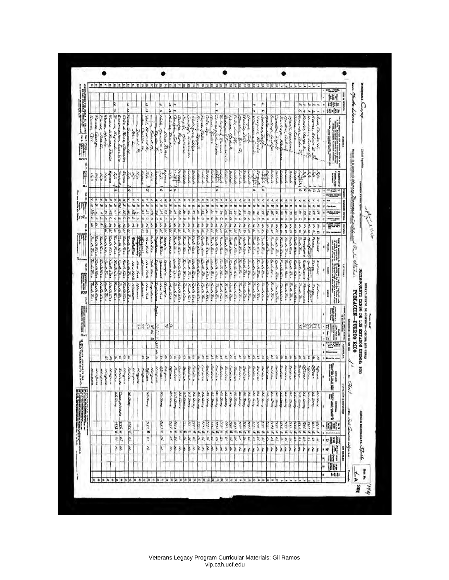| ī.<br>開群<br>$\frac{1}{2}$<br>市<br>Þ,<br>13.42<br>仏象<br>Þ<br>ъs<br>Ļ,<br>w<br>  1  .  1  <br>h<br>M<br>ķ.<br>ka<br>Raman, Meniata<br>Banna, Septer<br>Rat.<br>Gonzalez, Julio<br>Rames<br><i>Kivena de Agrada,</i><br>Encarnacian,<br>Vail, Howard K.,<br>Š<br>Reyes, Valla<br>Cancooqinin Padu<br>Huni Yadio<br>Rodnigues, Romera<br>Ortiz, Jose R.<br>Keanna,<br>Famer<br>Coltz de Reez, Clamcion<br>Names,<br>Villacauxa Estati<br>Henrosodez, Pader P.<br>Bender, George E.<br>Jones, Chanks W.<br>Notes, Manufills C.<br>Barbertan<br>Gas<br>Sontiago, and ins<br>Santri<br><i><b><i><u><b>Todeiputt</b></u></i></b></i><br>College Season<br>Deseys, June<br>Solivan, Indon<br>Constitut, Rafast<br>Eixendy<br>Boston Sec. a.<br>Vazyuez, Ramére<br>Machi, Mariane,<br>$S_{\rm{p}}$<br><b>Barbian</b><br><b>Vallas</b><br>Cantiago,<br>teenshee, beeres of<br>لأشتمان<br>J<br>to Rate<br>in Zaile<br>f<br>Carilia a<br>Ift, Francisco<br>annoica M<br>Jahre L.<br>Denald R.<br>Robert Ma<br>ļ<br>Dine Rothel<br><b>Pay Albert</b><br>Geerge<br>Dea bl<br>Edwin B.<br>Jene a<br>Hodish<br>$a_{\mu \nu}$<br><b>Bitte</b><br>Gabai,<br>charian<br>Ennance<br>Elect<br>aleja<br>ļ.<br>Eusebia<br>×<br>Faula<br>77327<br>Egresa<br>Proofs<br>Egene<br><b>Later</b><br><b><i><u>Circula</u></i></b><br>ķ<br><b>Consult</b><br>Saldado<br>تسابرات<br>Seidade<br>Seldode<br>Sidoda<br>غلطهانة<br>ا مقابلة.<br>مقابلة<br>新学<br><b>DISTURBED</b><br>Hije<br><b>City of a</b><br>عاصرا وأحظ<br>Line 1<br><b>Secretary</b><br><b>Albert</b><br><b>Sectionals</b><br>W<br>Seidheala<br>aldada.<br><b>Regist</b><br>ind od<br>T.<br>alin<br>a Type<br>Hija<br>Kija<br>ł.<br><b>THE STATE</b><br>مصمان<br>ستحصفك<br>خزينه<br>17000<br>è<br>ā<br>ø<br>$\overline{a}$<br>ø<br>ъ<br>a<br>ā<br>$\overline{a}$<br>$\overline{\mathbf{a}}$<br>$571 + 4$<br>a<br>ю<br>City, mayor<br>Ķ<br>$x \geq 35$<br>S<br>$\begin{array}{c} 2 \overline{3} \overline{2} \overline{3} \overline{3} \overline{4} \overline{1} \overline{1} \overline{1} \overline{1} \overline{1} \overline{1} \overline{1} \overline{1} \overline{1} \overline{1} \overline{1} \overline{1} \overline{1} \overline{1} \overline{1} \overline{1} \overline{1} \overline{1} \overline{1} \overline{1} \overline{1} \overline{1} \overline{1} \overline{1} \overline{1} \overline{1} \overline{1} \overline{1} \overline{1} \overline{1} \$<br>k<br>W<br><b>HB</b><br>NGLIL IS<br><b>H 3 35 C</b><br>$\frac{1}{2}$ $\frac{1}{2}$ $\frac{1}{2}$ $\frac{1}{2}$<br>e A<br>e v<br>$\frac{1}{2}$<br>$\frac{1}{8}$<br>a n<br>e s<br>K<br>¢<br>Į<br>$\frac{1}{2}$<br>$\frac{1}{2}$<br>×<br>N R<br>۴<br>Ķ<br>×<br>R<br>۴.<br>٩<br>B 第10<br>łs.<br>66<br><b>AB</b><br>2.38<br>h<br>2 15/ 4<br>91<br>fx)<br>h,<br>m<br>Ħ<br>ie Lien<br>$32 - 8$<br>$\frac{25}{25}$<br>3.2.5<br>y<br>$rac{c}{\kappa}$<br>34<br>Ł<br>福<br>$\overline{\mathbf{z}}$<br>Ŀ<br>ķ<br>31 5<br>ă<br>È<br>ų<br>£<br>İ.<br>ł.<br>ŀ<br>垦<br>ų<br>ķ<br>k<br>昏<br>23 3<br>k<br>B<br>ŧ,<br>男の<br>þ<br>ř<br>製の<br><b><i><u>Indian at this</u></i></b><br>Ņ<br>ع ا م<br>'n<br>m<br>h<br>n<br>th<br>h<br>'n<br>h<br>ķ,<br>M<br>'n<br>þ,<br>(h<br>M<br>m<br>V)<br><b>SIMPORT</b><br><b>Att</b> 42<br>NS 51<br>gast<br>10.51<br>No Si<br>ſ.<br>w<br>Ne 57<br>ķ<br>ģ,<br>ķ,<br>Ne. 68<br><b>Ne or</b><br>þ<br>þ<br>Ne. 21<br>Ŗ<br>R<br>Ne Si<br><b>Reserve</b><br>高句<br>ま 白<br>Mi Si<br>经验<br>医空气<br>香の<br>R<br>E<br>Ma St<br><b>MAG</b><br>ß<br>No Si<br>$Mx$ 57<br>Ne Si<br><b>Beach</b><br>ļ,<br>Na Szi<br>医院<br>Me St<br>医原<br>Me Sr<br>Me Si<br>i<br>G<br>まじ<br>Me Si<br>医白色<br>Ma. 57<br>u<br>医学<br>No. St<br>Me Si<br>Ø,<br>h<br>P.<br><b>Keenh Kich</b><br><b>Zanh Ree</b><br><b><i>Bach Rice</i></b><br>Redito<br><b>Gunha Rice</b><br>Runte Alice<br>George Georg<br>Landa Black<br><b>Bunk Ree</b><br><b>Zeedh Rica</b><br><b>Elected Price</b><br>County Acr<br>Gunta Acch<br>Bank Rick<br>Finale Keep<br>Frantis Birth<br><b>Book Rice</b><br>Foundation<br>Forth Fire<br><b>Reading Africa</b><br><b>Zunh Kiny</b><br>Renberg<br><b>New York</b><br><b>George River</b><br>Giorgio<br><b>Pach Kich</b><br><b>Controlling</b><br><b>Runh Rea</b><br><b>Zecha Rese</b><br>East River<br><b>Side of</b><br>Nam Yank<br><b>Gash Res</b><br><b>Georg</b> Kies<br>Contract<br>المنكار المنسك<br>Zucke Ree<br><b>Parth Rick</b><br><b><i>Texas</i></b><br>Captains<br><b>Controllers</b><br><b>Rangpharm</b><br><b><i>Lodiana</i></b><br><b>Creatively</b><br>ada Arca<br><b>Contract Contract</b><br>$\begin{array}{l} \hbox{where $H$-nonlinear is called $\mathcal{P}(\mathcal{M})$ and $H$-nonlinear is defined by $H$-nonlinear, $H$-nonlinear is defined by $H$-nonlinear, $H$-nonlinear is defined by $H$-nonlinear, $H$-nonlinear is defined by $H$-nonlinear, $H$-nonlinear is defined by $H$-nonlinear, $H$-nonlinear is defined by $H$-nonlinear, $H$-nonlinear is defined by $H$-nonlinear, $H$-nonlinear is defined by $H$-nonlinear, $H$-nonlinear is defined by $H$-nonlinear, $H$-nonlinear is defined by $H$-nonlinear, $H$-nonlinear is defined by $H$-nonlinear, $H$-nonlinear is defined by $$<br>distant.<br>de Kice<br>Gun Kica<br><b><i>Laschaffee</i></b><br>Burk Kee<br><b>Zach Rice</b><br><b>ZechKico</b><br><b>Ban Res</b><br>Garl Rica<br>East Res<br>Gasta Krist<br>Contrace<br>Teacher Rice<br>Park dice<br>Perch Arcs<br>The Zo First<br>Read's Acc.<br><b>George Area</b><br><b>Pack Rea</b><br><b>Season</b><br><b>Wark Rica</b><br>Back Rice<br>Point Line<br>Seat E.<br><b>Ranta Rica</b><br>Carla dias<br>Final's Nick<br><b>Death Are</b><br><b>Theatriche</b><br>Tengt.<br><b>Geota disca</b><br>Conta Afer<br><b>Controller</b><br>La No Keca<br><b>Beats Eins</b><br>Pueh Ris<br><b>George Rice</b><br><b>Normand</b><br>Contact Contact<br><b>Contraction</b><br>Teach Tra<br>Î<br>olaw Yark<br>Lodis and<br>Georgia<br><b>Nicor Vice</b><br>New Year<br>olew Yeak<br><b>Windiana</b><br>ade Rea<br>ada Rica<br><b>REAL</b><br>Į<br><b>Geodo Rice</b><br><b>Rede Rea</b><br>Renk hice<br>Facing Kicz<br>Finants Area<br>Reach Arco<br>Lead Kies<br>Founds Arce<br>George Kica<br><b>Zach Res</b><br>New Year<br>Gungia<br>East Res<br>Gundahar<br>Bush Kie<br>Landishees<br>George Ken<br>Forest Green<br><b>Contaker</b><br>No. of Acres<br>Contalaro<br>Laglation<br><b>Cambrica</b><br><b><i>George River</i></b><br>Fashi Kira<br>Couch Rear<br>Tour Le Kier<br>Farmin Kees<br><b>Canada Rica</b><br>Gunda Arca<br>Beach Rice<br>Missouri<br>Seeth Rice<br>Treath River<br>New Yers<br>Ninanan<br><b>Miles every</b><br>Frank Kies<br>Truck Albert<br>Indiana<br>New Year<br><b>Emily First</b><br>Gently Albert<br>Ï<br>Leada Rice<br>Targetterer<br>Grand A. King<br>المتعارض والأشما<br><b>BEER</b><br>Lagillai<br>馴<br>$\frac{5}{27}$<br>Ř<br>쯾<br><b>Vege</b><br>ц<br>EK.<br>计一种<br>哪<br>š<br>R<br>Ę<br><b>AS</b><br>W.ZE<br>ŀ<br>No. St<br>Ľ<br>Q.<br>ø<br>ķ,<br>9<br>ķ,<br>Q<br>Ø.<br>Ř<br>ý,<br>Ŕ.<br>ų<br>Q.<br>b<br>Ŕ.<br>k.<br>契<br>5<br>H.<br>Ŷ<br>é.<br>墊<br>ľo.<br>ŵ<br>Ř<br>抱<br>R<br>ļ9<br>R.<br>k<br>Þ<br>Þ.<br>ø<br>ë<br>Ø,<br>ś,<br>蒃<br>Ŗ.<br>k.<br>Þ,<br>p<br>R.<br>鱼<br>ø<br>Hote V4, mate<br>Seldien<br>Seizir<br>Scidian<br>Seldies<br>Chiner<br>Sidne<br>Seldies<br>Subject<br>Salaha<br><b>Budition</b><br>Seidien<br>منافات<br>Seidies<br>Seidian<br>Officer<br>Secure<br>Seldier<br>متشاملتك<br>Seidico<br>Seidre-<br>Sections<br>Seidian<br>Seldian<br><b>CHAIRS</b><br>Ningua.<br>Beidict<br>Seldie<br>Subien<br>Seidire<br>Beldia.<br>Chica.<br>Office<br>Wingsto<br>56.60<br>Suidies<br>alises<br>dispuso<br><b><i><u>Seldian</u></i></b><br>Ninguise<br>Wingwag<br>Ninguia<br>Ogica.<br>Ninguna<br>Fundale<br><b>Seidine</b><br>Strutent<br><b>Minguise</b><br>مستوسين<br>Ningsa<br>荆州<br>000000000<br>IJ<br>$\alpha \leq \alpha$<br>Case pineda<br>$u \leq a$<br>U.S. Anery<br>U.S. Qoony<br><b>US Qamy</b><br>U.S. Qooy<br>M.S. Alexay<br><b>Children</b><br><b>US Zem</b><br>U.S. Cinay<br>US-Qoany<br>U.S. U.S. P<br>U.S. Deery<br><b>U.S. Cleary</b><br>ith Treng<br>UE Quay<br>$\Delta \leq \Delta$ and<br>US. Geeny<br>US Growy.<br>4.524<br><b>NESTIN</b><br>US Gray<br>S. Qam<br><b>LE Dermy</b><br><b>U.S. Cleary</b><br><b>AS Green</b><br>$x_2$ $x_{\text{max}}$<br>I.S. Green<br><b>US Cleary</b><br>$L = Q$ and<br>$\mu \in \mathbb{Z}$ and<br>us. 2. m<br>L'S. d'Am<br>İ<br>in Quay<br><b>US Geary</b><br><b>US Quey</b><br><b>Accept</b><br>ü<br>23.14<br><b>ALS E</b><br>200<br>3.760<br>$\frac{N}{2}$ $\frac{N}{2}$ $\frac{N}{2}$<br>$300 - 65$<br>2.116<br><b>279.4</b><br>a<br>Brezh<br>$1 - 10$<br>33616<br>F<br>3.144<br>3.60<br>2. 1974<br>3 <i>A14</i><br><b>ASK</b><br>7.56<br><b>SAN</b><br>Tres E<br>70. E<br>19/5<br>3 000<br>3.744<br>3.614<br>3.111<br>1.16<br>see.<br>$7 - 1576$<br>1.516<br><b>SE17</b><br>3.11%<br><b>TIE</b><br>ins E.<br>3.776<br>m<br>m<br>m<br>m<br>L<br>Q.<br>Þ<br>É,<br>9.<br>Ľ,<br>¢,<br>Ý,<br>Q,<br>Ľ,<br>Ø,<br>Þ<br>þ,<br>Si.<br>Þ<br>L<br>ing<br>1955<br>1957<br>$5i$ $\rightarrow$<br>$\frac{1}{2}$<br>k.<br>鱼<br>ļ.<br>p,<br>p<br>Ø<br>Ŗ.<br>\$,<br>ķ,<br>81<br>P.<br>si Leh<br>电影<br>p.<br>X<br>ķ<br>ķ<br>þ<br>ķ<br>ķ<br>þ<br>þ<br>ķ<br>ð<br>ķ<br>Ŗ<br>þ<br>ķ<br>ķ<br>≱<br>X<br>þ<br>ķ<br>Nr<br>þ<br>þ<br>þ<br>ķ<br>ķ<br>ķ,<br>ķ<br>þ<br>ķ<br>ķ<br>×<br>þ<br>ř<br>Þ |                        |                       | Ninguna |  | $\begin{array}{l} \displaystyle \lim_{\longrightarrow} \limsup_{n\to\infty} \limsup_{n\to\infty} \frac{1}{n!} \end{array}$ | <b><i>Earla Kras</i></b><br>ļ<br>ŗ              | a <sub>trans</sub><br>Tuesda Kiea | <b><i>Fuenta Kaca</i></b> | ķ | <b>Hill</b>      | 冒险 | Hijin<br>н | $\begin{tabular}{ c c c c c c } \hline $1$ & $10000$ & $10000$ & $10000$ & $10000$ & $100000$ \\ \hline $1$ & $100000$ & $100000$ & $100000$ & $100000$ & $100000$ & $100000$ & $100000$ & $100000$ & $100000$ & $100000$ & $1000000$ & $1000000$ & $1000000$ & $1000000$ & $1000000$ & $1000$<br>Kannak,<br>f |                  |                 |
|------------------------------------------------------------------------------------------------------------------------------------------------------------------------------------------------------------------------------------------------------------------------------------------------------------------------------------------------------------------------------------------------------------------------------------------------------------------------------------------------------------------------------------------------------------------------------------------------------------------------------------------------------------------------------------------------------------------------------------------------------------------------------------------------------------------------------------------------------------------------------------------------------------------------------------------------------------------------------------------------------------------------------------------------------------------------------------------------------------------------------------------------------------------------------------------------------------------------------------------------------------------------------------------------------------------------------------------------------------------------------------------------------------------------------------------------------------------------------------------------------------------------------------------------------------------------------------------------------------------------------------------------------------------------------------------------------------------------------------------------------------------------------------------------------------------------------------------------------------------------------------------------------------------------------------------------------------------------------------------------------------------------------------------------------------------------------------------------------------------------------------------------------------------------------------------------------------------------------------------------------------------------------------------------------------------------------------------------------------------------------------------------------------------------------------------------------------------------------------------------------------------------------------------------------------------------------------------------------------------------------------------------------------------------------------------------------------------------------------------------------------------------------------------------------------------------------------------------------------------------------------------------------------------------------------------------------------------------------------------------------------------------------------------------------------------------------------------------------------------------------------------------------------------------------------------------------------------------------------------------------------------------------------------------------------------------------------------------------------------------------------------------------------------------------------------------------------------------------------------------------------------------------------------------------------------------------------------------------------------------------------------------------------------------------------------------------------------------------------------------------------------------------------------------------------------------------------------------------------------------------------------------------------------------------------------------------------------------------------------------------------------------------------------------------------------------------------------------------------------------------------------------------------------------------------------------------------------------------------------------------------------------------------------------------------------------------------------------------------------------------------------------------------------------------------------------------------------------------------------------------------------------------------------------------------------------------------------------------------------------------------------------------------------------------------------------------------------------------------------------------------------------------------------------------------------------------------------------------------------------------------------------------------------------------------------------------------------------------------------------------------------------------------------------------------------------------------------------------------------------------------------------------------------------------------------------------------------------------------------------------------------------------------------------------------------------------------------------------------------------------------------------------------------------------------------------------------------------------------------------------------------------------------------------------------------------------------------------------------------------------------------------------------------------------------------------------------------------------------------------------------------------------------------------------------------------------------------------------------------------------------------------------------------------------------------------------------------------------------------------------------------------------------------------------------------------------------------------------------------------------------------------------------------------------------------------------------------------------------------------------------------------------------------------------------------------------------------------------------------------------------------------------------------------------------------------------------------------------------------------------------------------------------------------------------------------------------------------------------------------------------------------------------------------------------------------------------------------------------------------------------------------------------------------------------------------------------------------------------------------------------------------------------------------------------------------------------------------------------------------------------------------------------------------------------------------------------------------------------------------------------------------------------------------------------------------------------------------------------------------------------------------------------------------------------------------------------------------------------------------------------------------------------------------------------------------------------------------------------------------------------------------------------------------------------------------------------------------------------------------------------------------------------------------------------------------------------------------------------------------------------------------------------------------------------------------------------------------------------------------------------------------------------------------------------------------------------------------------------------------------------------------------------------------------------------------------------------------------------------------------------------------------------------------------------------------------------------------------------------------------------------------------------------------------------------------------------------------------------------------------------------------------------------------------------------------------------------------------------------------------------------------------------------------------------------------------------------------------------------------------------------------------------------------------------------------------------------------------------------------------------------------------------------------------------------------------------------------------------------------------------------------------------------------------------------------------------------------------------------------------------------------------------------------------------------------------------------------------------------------------------------------------------------------------------------------------------------------------------------------------------------------------------------------------------------------|------------------------|-----------------------|---------|--|----------------------------------------------------------------------------------------------------------------------------|-------------------------------------------------|-----------------------------------|---------------------------|---|------------------|----|------------|----------------------------------------------------------------------------------------------------------------------------------------------------------------------------------------------------------------------------------------------------------------------------------------------------------------|------------------|-----------------|
|                                                                                                                                                                                                                                                                                                                                                                                                                                                                                                                                                                                                                                                                                                                                                                                                                                                                                                                                                                                                                                                                                                                                                                                                                                                                                                                                                                                                                                                                                                                                                                                                                                                                                                                                                                                                                                                                                                                                                                                                                                                                                                                                                                                                                                                                                                                                                                                                                                                                                                                                                                                                                                                                                                                                                                                                                                                                                                                                                                                                                                                                                                                                                                                                                                                                                                                                                                                                                                                                                                                                                                                                                                                                                                                                                                                                                                                                                                                                                                                                                                                                                                                                                                                                                                                                                                                                                                                                                                                                                                                                                                                                                                                                                                                                                                                                                                                                                                                                                                                                                                                                                                                                                                                                                                                                                                                                                                                                                                                                                                                                                                                                                                                                                                                                                                                                                                                                                                                                                                                                                                                                                                                                                                                                                                                                                                                                                                                                                                                                                                                                                                                                                                                                                                                                                                                                                                                                                                                                                                                                                                                                                                                                                                                                                                                                                                                                                                                                                                                                                                                                                                                                                                                                                                                                                                                                                                                                                                                                                                                                                                                                                                                                                                                                                                                                                                                                                                                                                                                                                                                                                                                                                                                                                                                                                                                                                                                                                                                                                                                                                                                                                                                                                                                                                                                                                                                        |                        |                       |         |  |                                                                                                                            |                                                 |                                   |                           |   |                  |    |            |                                                                                                                                                                                                                                                                                                                |                  |                 |
|                                                                                                                                                                                                                                                                                                                                                                                                                                                                                                                                                                                                                                                                                                                                                                                                                                                                                                                                                                                                                                                                                                                                                                                                                                                                                                                                                                                                                                                                                                                                                                                                                                                                                                                                                                                                                                                                                                                                                                                                                                                                                                                                                                                                                                                                                                                                                                                                                                                                                                                                                                                                                                                                                                                                                                                                                                                                                                                                                                                                                                                                                                                                                                                                                                                                                                                                                                                                                                                                                                                                                                                                                                                                                                                                                                                                                                                                                                                                                                                                                                                                                                                                                                                                                                                                                                                                                                                                                                                                                                                                                                                                                                                                                                                                                                                                                                                                                                                                                                                                                                                                                                                                                                                                                                                                                                                                                                                                                                                                                                                                                                                                                                                                                                                                                                                                                                                                                                                                                                                                                                                                                                                                                                                                                                                                                                                                                                                                                                                                                                                                                                                                                                                                                                                                                                                                                                                                                                                                                                                                                                                                                                                                                                                                                                                                                                                                                                                                                                                                                                                                                                                                                                                                                                                                                                                                                                                                                                                                                                                                                                                                                                                                                                                                                                                                                                                                                                                                                                                                                                                                                                                                                                                                                                                                                                                                                                                                                                                                                                                                                                                                                                                                                                                                                                                                                                                        |                        |                       |         |  |                                                                                                                            |                                                 |                                   |                           |   |                  |    |            |                                                                                                                                                                                                                                                                                                                |                  |                 |
|                                                                                                                                                                                                                                                                                                                                                                                                                                                                                                                                                                                                                                                                                                                                                                                                                                                                                                                                                                                                                                                                                                                                                                                                                                                                                                                                                                                                                                                                                                                                                                                                                                                                                                                                                                                                                                                                                                                                                                                                                                                                                                                                                                                                                                                                                                                                                                                                                                                                                                                                                                                                                                                                                                                                                                                                                                                                                                                                                                                                                                                                                                                                                                                                                                                                                                                                                                                                                                                                                                                                                                                                                                                                                                                                                                                                                                                                                                                                                                                                                                                                                                                                                                                                                                                                                                                                                                                                                                                                                                                                                                                                                                                                                                                                                                                                                                                                                                                                                                                                                                                                                                                                                                                                                                                                                                                                                                                                                                                                                                                                                                                                                                                                                                                                                                                                                                                                                                                                                                                                                                                                                                                                                                                                                                                                                                                                                                                                                                                                                                                                                                                                                                                                                                                                                                                                                                                                                                                                                                                                                                                                                                                                                                                                                                                                                                                                                                                                                                                                                                                                                                                                                                                                                                                                                                                                                                                                                                                                                                                                                                                                                                                                                                                                                                                                                                                                                                                                                                                                                                                                                                                                                                                                                                                                                                                                                                                                                                                                                                                                                                                                                                                                                                                                                                                                                                                        |                        |                       |         |  |                                                                                                                            |                                                 |                                   |                           |   |                  |    |            |                                                                                                                                                                                                                                                                                                                |                  |                 |
|                                                                                                                                                                                                                                                                                                                                                                                                                                                                                                                                                                                                                                                                                                                                                                                                                                                                                                                                                                                                                                                                                                                                                                                                                                                                                                                                                                                                                                                                                                                                                                                                                                                                                                                                                                                                                                                                                                                                                                                                                                                                                                                                                                                                                                                                                                                                                                                                                                                                                                                                                                                                                                                                                                                                                                                                                                                                                                                                                                                                                                                                                                                                                                                                                                                                                                                                                                                                                                                                                                                                                                                                                                                                                                                                                                                                                                                                                                                                                                                                                                                                                                                                                                                                                                                                                                                                                                                                                                                                                                                                                                                                                                                                                                                                                                                                                                                                                                                                                                                                                                                                                                                                                                                                                                                                                                                                                                                                                                                                                                                                                                                                                                                                                                                                                                                                                                                                                                                                                                                                                                                                                                                                                                                                                                                                                                                                                                                                                                                                                                                                                                                                                                                                                                                                                                                                                                                                                                                                                                                                                                                                                                                                                                                                                                                                                                                                                                                                                                                                                                                                                                                                                                                                                                                                                                                                                                                                                                                                                                                                                                                                                                                                                                                                                                                                                                                                                                                                                                                                                                                                                                                                                                                                                                                                                                                                                                                                                                                                                                                                                                                                                                                                                                                                                                                                                                                        |                        |                       |         |  |                                                                                                                            |                                                 |                                   |                           |   |                  |    |            |                                                                                                                                                                                                                                                                                                                |                  |                 |
|                                                                                                                                                                                                                                                                                                                                                                                                                                                                                                                                                                                                                                                                                                                                                                                                                                                                                                                                                                                                                                                                                                                                                                                                                                                                                                                                                                                                                                                                                                                                                                                                                                                                                                                                                                                                                                                                                                                                                                                                                                                                                                                                                                                                                                                                                                                                                                                                                                                                                                                                                                                                                                                                                                                                                                                                                                                                                                                                                                                                                                                                                                                                                                                                                                                                                                                                                                                                                                                                                                                                                                                                                                                                                                                                                                                                                                                                                                                                                                                                                                                                                                                                                                                                                                                                                                                                                                                                                                                                                                                                                                                                                                                                                                                                                                                                                                                                                                                                                                                                                                                                                                                                                                                                                                                                                                                                                                                                                                                                                                                                                                                                                                                                                                                                                                                                                                                                                                                                                                                                                                                                                                                                                                                                                                                                                                                                                                                                                                                                                                                                                                                                                                                                                                                                                                                                                                                                                                                                                                                                                                                                                                                                                                                                                                                                                                                                                                                                                                                                                                                                                                                                                                                                                                                                                                                                                                                                                                                                                                                                                                                                                                                                                                                                                                                                                                                                                                                                                                                                                                                                                                                                                                                                                                                                                                                                                                                                                                                                                                                                                                                                                                                                                                                                                                                                                                                        |                        |                       |         |  |                                                                                                                            |                                                 |                                   |                           |   |                  |    |            |                                                                                                                                                                                                                                                                                                                |                  |                 |
|                                                                                                                                                                                                                                                                                                                                                                                                                                                                                                                                                                                                                                                                                                                                                                                                                                                                                                                                                                                                                                                                                                                                                                                                                                                                                                                                                                                                                                                                                                                                                                                                                                                                                                                                                                                                                                                                                                                                                                                                                                                                                                                                                                                                                                                                                                                                                                                                                                                                                                                                                                                                                                                                                                                                                                                                                                                                                                                                                                                                                                                                                                                                                                                                                                                                                                                                                                                                                                                                                                                                                                                                                                                                                                                                                                                                                                                                                                                                                                                                                                                                                                                                                                                                                                                                                                                                                                                                                                                                                                                                                                                                                                                                                                                                                                                                                                                                                                                                                                                                                                                                                                                                                                                                                                                                                                                                                                                                                                                                                                                                                                                                                                                                                                                                                                                                                                                                                                                                                                                                                                                                                                                                                                                                                                                                                                                                                                                                                                                                                                                                                                                                                                                                                                                                                                                                                                                                                                                                                                                                                                                                                                                                                                                                                                                                                                                                                                                                                                                                                                                                                                                                                                                                                                                                                                                                                                                                                                                                                                                                                                                                                                                                                                                                                                                                                                                                                                                                                                                                                                                                                                                                                                                                                                                                                                                                                                                                                                                                                                                                                                                                                                                                                                                                                                                                                                                        |                        |                       |         |  |                                                                                                                            |                                                 |                                   |                           |   |                  |    |            |                                                                                                                                                                                                                                                                                                                |                  |                 |
|                                                                                                                                                                                                                                                                                                                                                                                                                                                                                                                                                                                                                                                                                                                                                                                                                                                                                                                                                                                                                                                                                                                                                                                                                                                                                                                                                                                                                                                                                                                                                                                                                                                                                                                                                                                                                                                                                                                                                                                                                                                                                                                                                                                                                                                                                                                                                                                                                                                                                                                                                                                                                                                                                                                                                                                                                                                                                                                                                                                                                                                                                                                                                                                                                                                                                                                                                                                                                                                                                                                                                                                                                                                                                                                                                                                                                                                                                                                                                                                                                                                                                                                                                                                                                                                                                                                                                                                                                                                                                                                                                                                                                                                                                                                                                                                                                                                                                                                                                                                                                                                                                                                                                                                                                                                                                                                                                                                                                                                                                                                                                                                                                                                                                                                                                                                                                                                                                                                                                                                                                                                                                                                                                                                                                                                                                                                                                                                                                                                                                                                                                                                                                                                                                                                                                                                                                                                                                                                                                                                                                                                                                                                                                                                                                                                                                                                                                                                                                                                                                                                                                                                                                                                                                                                                                                                                                                                                                                                                                                                                                                                                                                                                                                                                                                                                                                                                                                                                                                                                                                                                                                                                                                                                                                                                                                                                                                                                                                                                                                                                                                                                                                                                                                                                                                                                                                                        |                        |                       |         |  |                                                                                                                            |                                                 |                                   |                           |   |                  |    |            |                                                                                                                                                                                                                                                                                                                |                  |                 |
|                                                                                                                                                                                                                                                                                                                                                                                                                                                                                                                                                                                                                                                                                                                                                                                                                                                                                                                                                                                                                                                                                                                                                                                                                                                                                                                                                                                                                                                                                                                                                                                                                                                                                                                                                                                                                                                                                                                                                                                                                                                                                                                                                                                                                                                                                                                                                                                                                                                                                                                                                                                                                                                                                                                                                                                                                                                                                                                                                                                                                                                                                                                                                                                                                                                                                                                                                                                                                                                                                                                                                                                                                                                                                                                                                                                                                                                                                                                                                                                                                                                                                                                                                                                                                                                                                                                                                                                                                                                                                                                                                                                                                                                                                                                                                                                                                                                                                                                                                                                                                                                                                                                                                                                                                                                                                                                                                                                                                                                                                                                                                                                                                                                                                                                                                                                                                                                                                                                                                                                                                                                                                                                                                                                                                                                                                                                                                                                                                                                                                                                                                                                                                                                                                                                                                                                                                                                                                                                                                                                                                                                                                                                                                                                                                                                                                                                                                                                                                                                                                                                                                                                                                                                                                                                                                                                                                                                                                                                                                                                                                                                                                                                                                                                                                                                                                                                                                                                                                                                                                                                                                                                                                                                                                                                                                                                                                                                                                                                                                                                                                                                                                                                                                                                                                                                                                                                        |                        |                       |         |  |                                                                                                                            |                                                 |                                   |                           |   |                  |    |            |                                                                                                                                                                                                                                                                                                                |                  |                 |
|                                                                                                                                                                                                                                                                                                                                                                                                                                                                                                                                                                                                                                                                                                                                                                                                                                                                                                                                                                                                                                                                                                                                                                                                                                                                                                                                                                                                                                                                                                                                                                                                                                                                                                                                                                                                                                                                                                                                                                                                                                                                                                                                                                                                                                                                                                                                                                                                                                                                                                                                                                                                                                                                                                                                                                                                                                                                                                                                                                                                                                                                                                                                                                                                                                                                                                                                                                                                                                                                                                                                                                                                                                                                                                                                                                                                                                                                                                                                                                                                                                                                                                                                                                                                                                                                                                                                                                                                                                                                                                                                                                                                                                                                                                                                                                                                                                                                                                                                                                                                                                                                                                                                                                                                                                                                                                                                                                                                                                                                                                                                                                                                                                                                                                                                                                                                                                                                                                                                                                                                                                                                                                                                                                                                                                                                                                                                                                                                                                                                                                                                                                                                                                                                                                                                                                                                                                                                                                                                                                                                                                                                                                                                                                                                                                                                                                                                                                                                                                                                                                                                                                                                                                                                                                                                                                                                                                                                                                                                                                                                                                                                                                                                                                                                                                                                                                                                                                                                                                                                                                                                                                                                                                                                                                                                                                                                                                                                                                                                                                                                                                                                                                                                                                                                                                                                                                                        |                        |                       |         |  |                                                                                                                            |                                                 |                                   |                           |   |                  |    |            |                                                                                                                                                                                                                                                                                                                | 12.12            |                 |
|                                                                                                                                                                                                                                                                                                                                                                                                                                                                                                                                                                                                                                                                                                                                                                                                                                                                                                                                                                                                                                                                                                                                                                                                                                                                                                                                                                                                                                                                                                                                                                                                                                                                                                                                                                                                                                                                                                                                                                                                                                                                                                                                                                                                                                                                                                                                                                                                                                                                                                                                                                                                                                                                                                                                                                                                                                                                                                                                                                                                                                                                                                                                                                                                                                                                                                                                                                                                                                                                                                                                                                                                                                                                                                                                                                                                                                                                                                                                                                                                                                                                                                                                                                                                                                                                                                                                                                                                                                                                                                                                                                                                                                                                                                                                                                                                                                                                                                                                                                                                                                                                                                                                                                                                                                                                                                                                                                                                                                                                                                                                                                                                                                                                                                                                                                                                                                                                                                                                                                                                                                                                                                                                                                                                                                                                                                                                                                                                                                                                                                                                                                                                                                                                                                                                                                                                                                                                                                                                                                                                                                                                                                                                                                                                                                                                                                                                                                                                                                                                                                                                                                                                                                                                                                                                                                                                                                                                                                                                                                                                                                                                                                                                                                                                                                                                                                                                                                                                                                                                                                                                                                                                                                                                                                                                                                                                                                                                                                                                                                                                                                                                                                                                                                                                                                                                                                                        |                        |                       |         |  |                                                                                                                            |                                                 |                                   |                           |   |                  |    |            |                                                                                                                                                                                                                                                                                                                |                  |                 |
|                                                                                                                                                                                                                                                                                                                                                                                                                                                                                                                                                                                                                                                                                                                                                                                                                                                                                                                                                                                                                                                                                                                                                                                                                                                                                                                                                                                                                                                                                                                                                                                                                                                                                                                                                                                                                                                                                                                                                                                                                                                                                                                                                                                                                                                                                                                                                                                                                                                                                                                                                                                                                                                                                                                                                                                                                                                                                                                                                                                                                                                                                                                                                                                                                                                                                                                                                                                                                                                                                                                                                                                                                                                                                                                                                                                                                                                                                                                                                                                                                                                                                                                                                                                                                                                                                                                                                                                                                                                                                                                                                                                                                                                                                                                                                                                                                                                                                                                                                                                                                                                                                                                                                                                                                                                                                                                                                                                                                                                                                                                                                                                                                                                                                                                                                                                                                                                                                                                                                                                                                                                                                                                                                                                                                                                                                                                                                                                                                                                                                                                                                                                                                                                                                                                                                                                                                                                                                                                                                                                                                                                                                                                                                                                                                                                                                                                                                                                                                                                                                                                                                                                                                                                                                                                                                                                                                                                                                                                                                                                                                                                                                                                                                                                                                                                                                                                                                                                                                                                                                                                                                                                                                                                                                                                                                                                                                                                                                                                                                                                                                                                                                                                                                                                                                                                                                                                        |                        |                       |         |  |                                                                                                                            |                                                 |                                   |                           |   |                  |    |            |                                                                                                                                                                                                                                                                                                                |                  |                 |
|                                                                                                                                                                                                                                                                                                                                                                                                                                                                                                                                                                                                                                                                                                                                                                                                                                                                                                                                                                                                                                                                                                                                                                                                                                                                                                                                                                                                                                                                                                                                                                                                                                                                                                                                                                                                                                                                                                                                                                                                                                                                                                                                                                                                                                                                                                                                                                                                                                                                                                                                                                                                                                                                                                                                                                                                                                                                                                                                                                                                                                                                                                                                                                                                                                                                                                                                                                                                                                                                                                                                                                                                                                                                                                                                                                                                                                                                                                                                                                                                                                                                                                                                                                                                                                                                                                                                                                                                                                                                                                                                                                                                                                                                                                                                                                                                                                                                                                                                                                                                                                                                                                                                                                                                                                                                                                                                                                                                                                                                                                                                                                                                                                                                                                                                                                                                                                                                                                                                                                                                                                                                                                                                                                                                                                                                                                                                                                                                                                                                                                                                                                                                                                                                                                                                                                                                                                                                                                                                                                                                                                                                                                                                                                                                                                                                                                                                                                                                                                                                                                                                                                                                                                                                                                                                                                                                                                                                                                                                                                                                                                                                                                                                                                                                                                                                                                                                                                                                                                                                                                                                                                                                                                                                                                                                                                                                                                                                                                                                                                                                                                                                                                                                                                                                                                                                                                                        |                        |                       |         |  |                                                                                                                            |                                                 |                                   |                           |   |                  |    |            |                                                                                                                                                                                                                                                                                                                |                  |                 |
|                                                                                                                                                                                                                                                                                                                                                                                                                                                                                                                                                                                                                                                                                                                                                                                                                                                                                                                                                                                                                                                                                                                                                                                                                                                                                                                                                                                                                                                                                                                                                                                                                                                                                                                                                                                                                                                                                                                                                                                                                                                                                                                                                                                                                                                                                                                                                                                                                                                                                                                                                                                                                                                                                                                                                                                                                                                                                                                                                                                                                                                                                                                                                                                                                                                                                                                                                                                                                                                                                                                                                                                                                                                                                                                                                                                                                                                                                                                                                                                                                                                                                                                                                                                                                                                                                                                                                                                                                                                                                                                                                                                                                                                                                                                                                                                                                                                                                                                                                                                                                                                                                                                                                                                                                                                                                                                                                                                                                                                                                                                                                                                                                                                                                                                                                                                                                                                                                                                                                                                                                                                                                                                                                                                                                                                                                                                                                                                                                                                                                                                                                                                                                                                                                                                                                                                                                                                                                                                                                                                                                                                                                                                                                                                                                                                                                                                                                                                                                                                                                                                                                                                                                                                                                                                                                                                                                                                                                                                                                                                                                                                                                                                                                                                                                                                                                                                                                                                                                                                                                                                                                                                                                                                                                                                                                                                                                                                                                                                                                                                                                                                                                                                                                                                                                                                                                                                        |                        |                       |         |  |                                                                                                                            |                                                 |                                   |                           |   |                  |    |            |                                                                                                                                                                                                                                                                                                                |                  |                 |
|                                                                                                                                                                                                                                                                                                                                                                                                                                                                                                                                                                                                                                                                                                                                                                                                                                                                                                                                                                                                                                                                                                                                                                                                                                                                                                                                                                                                                                                                                                                                                                                                                                                                                                                                                                                                                                                                                                                                                                                                                                                                                                                                                                                                                                                                                                                                                                                                                                                                                                                                                                                                                                                                                                                                                                                                                                                                                                                                                                                                                                                                                                                                                                                                                                                                                                                                                                                                                                                                                                                                                                                                                                                                                                                                                                                                                                                                                                                                                                                                                                                                                                                                                                                                                                                                                                                                                                                                                                                                                                                                                                                                                                                                                                                                                                                                                                                                                                                                                                                                                                                                                                                                                                                                                                                                                                                                                                                                                                                                                                                                                                                                                                                                                                                                                                                                                                                                                                                                                                                                                                                                                                                                                                                                                                                                                                                                                                                                                                                                                                                                                                                                                                                                                                                                                                                                                                                                                                                                                                                                                                                                                                                                                                                                                                                                                                                                                                                                                                                                                                                                                                                                                                                                                                                                                                                                                                                                                                                                                                                                                                                                                                                                                                                                                                                                                                                                                                                                                                                                                                                                                                                                                                                                                                                                                                                                                                                                                                                                                                                                                                                                                                                                                                                                                                                                                                                        |                        |                       |         |  |                                                                                                                            |                                                 |                                   |                           |   |                  |    |            |                                                                                                                                                                                                                                                                                                                |                  |                 |
|                                                                                                                                                                                                                                                                                                                                                                                                                                                                                                                                                                                                                                                                                                                                                                                                                                                                                                                                                                                                                                                                                                                                                                                                                                                                                                                                                                                                                                                                                                                                                                                                                                                                                                                                                                                                                                                                                                                                                                                                                                                                                                                                                                                                                                                                                                                                                                                                                                                                                                                                                                                                                                                                                                                                                                                                                                                                                                                                                                                                                                                                                                                                                                                                                                                                                                                                                                                                                                                                                                                                                                                                                                                                                                                                                                                                                                                                                                                                                                                                                                                                                                                                                                                                                                                                                                                                                                                                                                                                                                                                                                                                                                                                                                                                                                                                                                                                                                                                                                                                                                                                                                                                                                                                                                                                                                                                                                                                                                                                                                                                                                                                                                                                                                                                                                                                                                                                                                                                                                                                                                                                                                                                                                                                                                                                                                                                                                                                                                                                                                                                                                                                                                                                                                                                                                                                                                                                                                                                                                                                                                                                                                                                                                                                                                                                                                                                                                                                                                                                                                                                                                                                                                                                                                                                                                                                                                                                                                                                                                                                                                                                                                                                                                                                                                                                                                                                                                                                                                                                                                                                                                                                                                                                                                                                                                                                                                                                                                                                                                                                                                                                                                                                                                                                                                                                                                                        |                        |                       |         |  |                                                                                                                            |                                                 |                                   |                           |   |                  |    |            |                                                                                                                                                                                                                                                                                                                |                  |                 |
|                                                                                                                                                                                                                                                                                                                                                                                                                                                                                                                                                                                                                                                                                                                                                                                                                                                                                                                                                                                                                                                                                                                                                                                                                                                                                                                                                                                                                                                                                                                                                                                                                                                                                                                                                                                                                                                                                                                                                                                                                                                                                                                                                                                                                                                                                                                                                                                                                                                                                                                                                                                                                                                                                                                                                                                                                                                                                                                                                                                                                                                                                                                                                                                                                                                                                                                                                                                                                                                                                                                                                                                                                                                                                                                                                                                                                                                                                                                                                                                                                                                                                                                                                                                                                                                                                                                                                                                                                                                                                                                                                                                                                                                                                                                                                                                                                                                                                                                                                                                                                                                                                                                                                                                                                                                                                                                                                                                                                                                                                                                                                                                                                                                                                                                                                                                                                                                                                                                                                                                                                                                                                                                                                                                                                                                                                                                                                                                                                                                                                                                                                                                                                                                                                                                                                                                                                                                                                                                                                                                                                                                                                                                                                                                                                                                                                                                                                                                                                                                                                                                                                                                                                                                                                                                                                                                                                                                                                                                                                                                                                                                                                                                                                                                                                                                                                                                                                                                                                                                                                                                                                                                                                                                                                                                                                                                                                                                                                                                                                                                                                                                                                                                                                                                                                                                                                                                        |                        |                       |         |  |                                                                                                                            |                                                 |                                   |                           |   |                  |    |            |                                                                                                                                                                                                                                                                                                                |                  |                 |
|                                                                                                                                                                                                                                                                                                                                                                                                                                                                                                                                                                                                                                                                                                                                                                                                                                                                                                                                                                                                                                                                                                                                                                                                                                                                                                                                                                                                                                                                                                                                                                                                                                                                                                                                                                                                                                                                                                                                                                                                                                                                                                                                                                                                                                                                                                                                                                                                                                                                                                                                                                                                                                                                                                                                                                                                                                                                                                                                                                                                                                                                                                                                                                                                                                                                                                                                                                                                                                                                                                                                                                                                                                                                                                                                                                                                                                                                                                                                                                                                                                                                                                                                                                                                                                                                                                                                                                                                                                                                                                                                                                                                                                                                                                                                                                                                                                                                                                                                                                                                                                                                                                                                                                                                                                                                                                                                                                                                                                                                                                                                                                                                                                                                                                                                                                                                                                                                                                                                                                                                                                                                                                                                                                                                                                                                                                                                                                                                                                                                                                                                                                                                                                                                                                                                                                                                                                                                                                                                                                                                                                                                                                                                                                                                                                                                                                                                                                                                                                                                                                                                                                                                                                                                                                                                                                                                                                                                                                                                                                                                                                                                                                                                                                                                                                                                                                                                                                                                                                                                                                                                                                                                                                                                                                                                                                                                                                                                                                                                                                                                                                                                                                                                                                                                                                                                                                                        |                        |                       |         |  |                                                                                                                            |                                                 |                                   |                           |   |                  |    |            |                                                                                                                                                                                                                                                                                                                |                  |                 |
|                                                                                                                                                                                                                                                                                                                                                                                                                                                                                                                                                                                                                                                                                                                                                                                                                                                                                                                                                                                                                                                                                                                                                                                                                                                                                                                                                                                                                                                                                                                                                                                                                                                                                                                                                                                                                                                                                                                                                                                                                                                                                                                                                                                                                                                                                                                                                                                                                                                                                                                                                                                                                                                                                                                                                                                                                                                                                                                                                                                                                                                                                                                                                                                                                                                                                                                                                                                                                                                                                                                                                                                                                                                                                                                                                                                                                                                                                                                                                                                                                                                                                                                                                                                                                                                                                                                                                                                                                                                                                                                                                                                                                                                                                                                                                                                                                                                                                                                                                                                                                                                                                                                                                                                                                                                                                                                                                                                                                                                                                                                                                                                                                                                                                                                                                                                                                                                                                                                                                                                                                                                                                                                                                                                                                                                                                                                                                                                                                                                                                                                                                                                                                                                                                                                                                                                                                                                                                                                                                                                                                                                                                                                                                                                                                                                                                                                                                                                                                                                                                                                                                                                                                                                                                                                                                                                                                                                                                                                                                                                                                                                                                                                                                                                                                                                                                                                                                                                                                                                                                                                                                                                                                                                                                                                                                                                                                                                                                                                                                                                                                                                                                                                                                                                                                                                                                                                        |                        |                       |         |  |                                                                                                                            |                                                 |                                   |                           |   |                  |    |            |                                                                                                                                                                                                                                                                                                                |                  |                 |
|                                                                                                                                                                                                                                                                                                                                                                                                                                                                                                                                                                                                                                                                                                                                                                                                                                                                                                                                                                                                                                                                                                                                                                                                                                                                                                                                                                                                                                                                                                                                                                                                                                                                                                                                                                                                                                                                                                                                                                                                                                                                                                                                                                                                                                                                                                                                                                                                                                                                                                                                                                                                                                                                                                                                                                                                                                                                                                                                                                                                                                                                                                                                                                                                                                                                                                                                                                                                                                                                                                                                                                                                                                                                                                                                                                                                                                                                                                                                                                                                                                                                                                                                                                                                                                                                                                                                                                                                                                                                                                                                                                                                                                                                                                                                                                                                                                                                                                                                                                                                                                                                                                                                                                                                                                                                                                                                                                                                                                                                                                                                                                                                                                                                                                                                                                                                                                                                                                                                                                                                                                                                                                                                                                                                                                                                                                                                                                                                                                                                                                                                                                                                                                                                                                                                                                                                                                                                                                                                                                                                                                                                                                                                                                                                                                                                                                                                                                                                                                                                                                                                                                                                                                                                                                                                                                                                                                                                                                                                                                                                                                                                                                                                                                                                                                                                                                                                                                                                                                                                                                                                                                                                                                                                                                                                                                                                                                                                                                                                                                                                                                                                                                                                                                                                                                                                                                                        |                        |                       |         |  |                                                                                                                            |                                                 |                                   |                           |   |                  |    |            |                                                                                                                                                                                                                                                                                                                |                  |                 |
|                                                                                                                                                                                                                                                                                                                                                                                                                                                                                                                                                                                                                                                                                                                                                                                                                                                                                                                                                                                                                                                                                                                                                                                                                                                                                                                                                                                                                                                                                                                                                                                                                                                                                                                                                                                                                                                                                                                                                                                                                                                                                                                                                                                                                                                                                                                                                                                                                                                                                                                                                                                                                                                                                                                                                                                                                                                                                                                                                                                                                                                                                                                                                                                                                                                                                                                                                                                                                                                                                                                                                                                                                                                                                                                                                                                                                                                                                                                                                                                                                                                                                                                                                                                                                                                                                                                                                                                                                                                                                                                                                                                                                                                                                                                                                                                                                                                                                                                                                                                                                                                                                                                                                                                                                                                                                                                                                                                                                                                                                                                                                                                                                                                                                                                                                                                                                                                                                                                                                                                                                                                                                                                                                                                                                                                                                                                                                                                                                                                                                                                                                                                                                                                                                                                                                                                                                                                                                                                                                                                                                                                                                                                                                                                                                                                                                                                                                                                                                                                                                                                                                                                                                                                                                                                                                                                                                                                                                                                                                                                                                                                                                                                                                                                                                                                                                                                                                                                                                                                                                                                                                                                                                                                                                                                                                                                                                                                                                                                                                                                                                                                                                                                                                                                                                                                                                                                        |                        |                       |         |  |                                                                                                                            |                                                 |                                   |                           |   |                  |    |            |                                                                                                                                                                                                                                                                                                                |                  |                 |
|                                                                                                                                                                                                                                                                                                                                                                                                                                                                                                                                                                                                                                                                                                                                                                                                                                                                                                                                                                                                                                                                                                                                                                                                                                                                                                                                                                                                                                                                                                                                                                                                                                                                                                                                                                                                                                                                                                                                                                                                                                                                                                                                                                                                                                                                                                                                                                                                                                                                                                                                                                                                                                                                                                                                                                                                                                                                                                                                                                                                                                                                                                                                                                                                                                                                                                                                                                                                                                                                                                                                                                                                                                                                                                                                                                                                                                                                                                                                                                                                                                                                                                                                                                                                                                                                                                                                                                                                                                                                                                                                                                                                                                                                                                                                                                                                                                                                                                                                                                                                                                                                                                                                                                                                                                                                                                                                                                                                                                                                                                                                                                                                                                                                                                                                                                                                                                                                                                                                                                                                                                                                                                                                                                                                                                                                                                                                                                                                                                                                                                                                                                                                                                                                                                                                                                                                                                                                                                                                                                                                                                                                                                                                                                                                                                                                                                                                                                                                                                                                                                                                                                                                                                                                                                                                                                                                                                                                                                                                                                                                                                                                                                                                                                                                                                                                                                                                                                                                                                                                                                                                                                                                                                                                                                                                                                                                                                                                                                                                                                                                                                                                                                                                                                                                                                                                                                                        |                        |                       |         |  |                                                                                                                            |                                                 |                                   |                           |   |                  |    |            |                                                                                                                                                                                                                                                                                                                |                  |                 |
|                                                                                                                                                                                                                                                                                                                                                                                                                                                                                                                                                                                                                                                                                                                                                                                                                                                                                                                                                                                                                                                                                                                                                                                                                                                                                                                                                                                                                                                                                                                                                                                                                                                                                                                                                                                                                                                                                                                                                                                                                                                                                                                                                                                                                                                                                                                                                                                                                                                                                                                                                                                                                                                                                                                                                                                                                                                                                                                                                                                                                                                                                                                                                                                                                                                                                                                                                                                                                                                                                                                                                                                                                                                                                                                                                                                                                                                                                                                                                                                                                                                                                                                                                                                                                                                                                                                                                                                                                                                                                                                                                                                                                                                                                                                                                                                                                                                                                                                                                                                                                                                                                                                                                                                                                                                                                                                                                                                                                                                                                                                                                                                                                                                                                                                                                                                                                                                                                                                                                                                                                                                                                                                                                                                                                                                                                                                                                                                                                                                                                                                                                                                                                                                                                                                                                                                                                                                                                                                                                                                                                                                                                                                                                                                                                                                                                                                                                                                                                                                                                                                                                                                                                                                                                                                                                                                                                                                                                                                                                                                                                                                                                                                                                                                                                                                                                                                                                                                                                                                                                                                                                                                                                                                                                                                                                                                                                                                                                                                                                                                                                                                                                                                                                                                                                                                                                                                        |                        |                       |         |  |                                                                                                                            |                                                 |                                   |                           |   |                  |    |            |                                                                                                                                                                                                                                                                                                                |                  |                 |
|                                                                                                                                                                                                                                                                                                                                                                                                                                                                                                                                                                                                                                                                                                                                                                                                                                                                                                                                                                                                                                                                                                                                                                                                                                                                                                                                                                                                                                                                                                                                                                                                                                                                                                                                                                                                                                                                                                                                                                                                                                                                                                                                                                                                                                                                                                                                                                                                                                                                                                                                                                                                                                                                                                                                                                                                                                                                                                                                                                                                                                                                                                                                                                                                                                                                                                                                                                                                                                                                                                                                                                                                                                                                                                                                                                                                                                                                                                                                                                                                                                                                                                                                                                                                                                                                                                                                                                                                                                                                                                                                                                                                                                                                                                                                                                                                                                                                                                                                                                                                                                                                                                                                                                                                                                                                                                                                                                                                                                                                                                                                                                                                                                                                                                                                                                                                                                                                                                                                                                                                                                                                                                                                                                                                                                                                                                                                                                                                                                                                                                                                                                                                                                                                                                                                                                                                                                                                                                                                                                                                                                                                                                                                                                                                                                                                                                                                                                                                                                                                                                                                                                                                                                                                                                                                                                                                                                                                                                                                                                                                                                                                                                                                                                                                                                                                                                                                                                                                                                                                                                                                                                                                                                                                                                                                                                                                                                                                                                                                                                                                                                                                                                                                                                                                                                                                                                                        |                        |                       |         |  |                                                                                                                            |                                                 |                                   |                           |   |                  |    |            |                                                                                                                                                                                                                                                                                                                |                  |                 |
|                                                                                                                                                                                                                                                                                                                                                                                                                                                                                                                                                                                                                                                                                                                                                                                                                                                                                                                                                                                                                                                                                                                                                                                                                                                                                                                                                                                                                                                                                                                                                                                                                                                                                                                                                                                                                                                                                                                                                                                                                                                                                                                                                                                                                                                                                                                                                                                                                                                                                                                                                                                                                                                                                                                                                                                                                                                                                                                                                                                                                                                                                                                                                                                                                                                                                                                                                                                                                                                                                                                                                                                                                                                                                                                                                                                                                                                                                                                                                                                                                                                                                                                                                                                                                                                                                                                                                                                                                                                                                                                                                                                                                                                                                                                                                                                                                                                                                                                                                                                                                                                                                                                                                                                                                                                                                                                                                                                                                                                                                                                                                                                                                                                                                                                                                                                                                                                                                                                                                                                                                                                                                                                                                                                                                                                                                                                                                                                                                                                                                                                                                                                                                                                                                                                                                                                                                                                                                                                                                                                                                                                                                                                                                                                                                                                                                                                                                                                                                                                                                                                                                                                                                                                                                                                                                                                                                                                                                                                                                                                                                                                                                                                                                                                                                                                                                                                                                                                                                                                                                                                                                                                                                                                                                                                                                                                                                                                                                                                                                                                                                                                                                                                                                                                                                                                                                                                        |                        |                       |         |  |                                                                                                                            |                                                 |                                   |                           |   |                  |    |            |                                                                                                                                                                                                                                                                                                                |                  |                 |
|                                                                                                                                                                                                                                                                                                                                                                                                                                                                                                                                                                                                                                                                                                                                                                                                                                                                                                                                                                                                                                                                                                                                                                                                                                                                                                                                                                                                                                                                                                                                                                                                                                                                                                                                                                                                                                                                                                                                                                                                                                                                                                                                                                                                                                                                                                                                                                                                                                                                                                                                                                                                                                                                                                                                                                                                                                                                                                                                                                                                                                                                                                                                                                                                                                                                                                                                                                                                                                                                                                                                                                                                                                                                                                                                                                                                                                                                                                                                                                                                                                                                                                                                                                                                                                                                                                                                                                                                                                                                                                                                                                                                                                                                                                                                                                                                                                                                                                                                                                                                                                                                                                                                                                                                                                                                                                                                                                                                                                                                                                                                                                                                                                                                                                                                                                                                                                                                                                                                                                                                                                                                                                                                                                                                                                                                                                                                                                                                                                                                                                                                                                                                                                                                                                                                                                                                                                                                                                                                                                                                                                                                                                                                                                                                                                                                                                                                                                                                                                                                                                                                                                                                                                                                                                                                                                                                                                                                                                                                                                                                                                                                                                                                                                                                                                                                                                                                                                                                                                                                                                                                                                                                                                                                                                                                                                                                                                                                                                                                                                                                                                                                                                                                                                                                                                                                                                                        |                        |                       |         |  |                                                                                                                            |                                                 |                                   |                           |   |                  |    |            |                                                                                                                                                                                                                                                                                                                |                  |                 |
|                                                                                                                                                                                                                                                                                                                                                                                                                                                                                                                                                                                                                                                                                                                                                                                                                                                                                                                                                                                                                                                                                                                                                                                                                                                                                                                                                                                                                                                                                                                                                                                                                                                                                                                                                                                                                                                                                                                                                                                                                                                                                                                                                                                                                                                                                                                                                                                                                                                                                                                                                                                                                                                                                                                                                                                                                                                                                                                                                                                                                                                                                                                                                                                                                                                                                                                                                                                                                                                                                                                                                                                                                                                                                                                                                                                                                                                                                                                                                                                                                                                                                                                                                                                                                                                                                                                                                                                                                                                                                                                                                                                                                                                                                                                                                                                                                                                                                                                                                                                                                                                                                                                                                                                                                                                                                                                                                                                                                                                                                                                                                                                                                                                                                                                                                                                                                                                                                                                                                                                                                                                                                                                                                                                                                                                                                                                                                                                                                                                                                                                                                                                                                                                                                                                                                                                                                                                                                                                                                                                                                                                                                                                                                                                                                                                                                                                                                                                                                                                                                                                                                                                                                                                                                                                                                                                                                                                                                                                                                                                                                                                                                                                                                                                                                                                                                                                                                                                                                                                                                                                                                                                                                                                                                                                                                                                                                                                                                                                                                                                                                                                                                                                                                                                                                                                                                                                        |                        |                       |         |  |                                                                                                                            |                                                 |                                   |                           |   |                  |    |            |                                                                                                                                                                                                                                                                                                                |                  |                 |
|                                                                                                                                                                                                                                                                                                                                                                                                                                                                                                                                                                                                                                                                                                                                                                                                                                                                                                                                                                                                                                                                                                                                                                                                                                                                                                                                                                                                                                                                                                                                                                                                                                                                                                                                                                                                                                                                                                                                                                                                                                                                                                                                                                                                                                                                                                                                                                                                                                                                                                                                                                                                                                                                                                                                                                                                                                                                                                                                                                                                                                                                                                                                                                                                                                                                                                                                                                                                                                                                                                                                                                                                                                                                                                                                                                                                                                                                                                                                                                                                                                                                                                                                                                                                                                                                                                                                                                                                                                                                                                                                                                                                                                                                                                                                                                                                                                                                                                                                                                                                                                                                                                                                                                                                                                                                                                                                                                                                                                                                                                                                                                                                                                                                                                                                                                                                                                                                                                                                                                                                                                                                                                                                                                                                                                                                                                                                                                                                                                                                                                                                                                                                                                                                                                                                                                                                                                                                                                                                                                                                                                                                                                                                                                                                                                                                                                                                                                                                                                                                                                                                                                                                                                                                                                                                                                                                                                                                                                                                                                                                                                                                                                                                                                                                                                                                                                                                                                                                                                                                                                                                                                                                                                                                                                                                                                                                                                                                                                                                                                                                                                                                                                                                                                                                                                                                                                                        |                        |                       |         |  |                                                                                                                            |                                                 |                                   |                           |   |                  |    |            |                                                                                                                                                                                                                                                                                                                |                  |                 |
|                                                                                                                                                                                                                                                                                                                                                                                                                                                                                                                                                                                                                                                                                                                                                                                                                                                                                                                                                                                                                                                                                                                                                                                                                                                                                                                                                                                                                                                                                                                                                                                                                                                                                                                                                                                                                                                                                                                                                                                                                                                                                                                                                                                                                                                                                                                                                                                                                                                                                                                                                                                                                                                                                                                                                                                                                                                                                                                                                                                                                                                                                                                                                                                                                                                                                                                                                                                                                                                                                                                                                                                                                                                                                                                                                                                                                                                                                                                                                                                                                                                                                                                                                                                                                                                                                                                                                                                                                                                                                                                                                                                                                                                                                                                                                                                                                                                                                                                                                                                                                                                                                                                                                                                                                                                                                                                                                                                                                                                                                                                                                                                                                                                                                                                                                                                                                                                                                                                                                                                                                                                                                                                                                                                                                                                                                                                                                                                                                                                                                                                                                                                                                                                                                                                                                                                                                                                                                                                                                                                                                                                                                                                                                                                                                                                                                                                                                                                                                                                                                                                                                                                                                                                                                                                                                                                                                                                                                                                                                                                                                                                                                                                                                                                                                                                                                                                                                                                                                                                                                                                                                                                                                                                                                                                                                                                                                                                                                                                                                                                                                                                                                                                                                                                                                                                                                                                        |                        |                       |         |  |                                                                                                                            |                                                 |                                   |                           |   |                  |    |            |                                                                                                                                                                                                                                                                                                                |                  |                 |
|                                                                                                                                                                                                                                                                                                                                                                                                                                                                                                                                                                                                                                                                                                                                                                                                                                                                                                                                                                                                                                                                                                                                                                                                                                                                                                                                                                                                                                                                                                                                                                                                                                                                                                                                                                                                                                                                                                                                                                                                                                                                                                                                                                                                                                                                                                                                                                                                                                                                                                                                                                                                                                                                                                                                                                                                                                                                                                                                                                                                                                                                                                                                                                                                                                                                                                                                                                                                                                                                                                                                                                                                                                                                                                                                                                                                                                                                                                                                                                                                                                                                                                                                                                                                                                                                                                                                                                                                                                                                                                                                                                                                                                                                                                                                                                                                                                                                                                                                                                                                                                                                                                                                                                                                                                                                                                                                                                                                                                                                                                                                                                                                                                                                                                                                                                                                                                                                                                                                                                                                                                                                                                                                                                                                                                                                                                                                                                                                                                                                                                                                                                                                                                                                                                                                                                                                                                                                                                                                                                                                                                                                                                                                                                                                                                                                                                                                                                                                                                                                                                                                                                                                                                                                                                                                                                                                                                                                                                                                                                                                                                                                                                                                                                                                                                                                                                                                                                                                                                                                                                                                                                                                                                                                                                                                                                                                                                                                                                                                                                                                                                                                                                                                                                                                                                                                                                                        |                        |                       |         |  |                                                                                                                            |                                                 |                                   |                           |   |                  |    |            |                                                                                                                                                                                                                                                                                                                |                  |                 |
|                                                                                                                                                                                                                                                                                                                                                                                                                                                                                                                                                                                                                                                                                                                                                                                                                                                                                                                                                                                                                                                                                                                                                                                                                                                                                                                                                                                                                                                                                                                                                                                                                                                                                                                                                                                                                                                                                                                                                                                                                                                                                                                                                                                                                                                                                                                                                                                                                                                                                                                                                                                                                                                                                                                                                                                                                                                                                                                                                                                                                                                                                                                                                                                                                                                                                                                                                                                                                                                                                                                                                                                                                                                                                                                                                                                                                                                                                                                                                                                                                                                                                                                                                                                                                                                                                                                                                                                                                                                                                                                                                                                                                                                                                                                                                                                                                                                                                                                                                                                                                                                                                                                                                                                                                                                                                                                                                                                                                                                                                                                                                                                                                                                                                                                                                                                                                                                                                                                                                                                                                                                                                                                                                                                                                                                                                                                                                                                                                                                                                                                                                                                                                                                                                                                                                                                                                                                                                                                                                                                                                                                                                                                                                                                                                                                                                                                                                                                                                                                                                                                                                                                                                                                                                                                                                                                                                                                                                                                                                                                                                                                                                                                                                                                                                                                                                                                                                                                                                                                                                                                                                                                                                                                                                                                                                                                                                                                                                                                                                                                                                                                                                                                                                                                                                                                                                                                        |                        |                       |         |  |                                                                                                                            |                                                 |                                   |                           |   |                  |    |            |                                                                                                                                                                                                                                                                                                                |                  |                 |
|                                                                                                                                                                                                                                                                                                                                                                                                                                                                                                                                                                                                                                                                                                                                                                                                                                                                                                                                                                                                                                                                                                                                                                                                                                                                                                                                                                                                                                                                                                                                                                                                                                                                                                                                                                                                                                                                                                                                                                                                                                                                                                                                                                                                                                                                                                                                                                                                                                                                                                                                                                                                                                                                                                                                                                                                                                                                                                                                                                                                                                                                                                                                                                                                                                                                                                                                                                                                                                                                                                                                                                                                                                                                                                                                                                                                                                                                                                                                                                                                                                                                                                                                                                                                                                                                                                                                                                                                                                                                                                                                                                                                                                                                                                                                                                                                                                                                                                                                                                                                                                                                                                                                                                                                                                                                                                                                                                                                                                                                                                                                                                                                                                                                                                                                                                                                                                                                                                                                                                                                                                                                                                                                                                                                                                                                                                                                                                                                                                                                                                                                                                                                                                                                                                                                                                                                                                                                                                                                                                                                                                                                                                                                                                                                                                                                                                                                                                                                                                                                                                                                                                                                                                                                                                                                                                                                                                                                                                                                                                                                                                                                                                                                                                                                                                                                                                                                                                                                                                                                                                                                                                                                                                                                                                                                                                                                                                                                                                                                                                                                                                                                                                                                                                                                                                                                                                                        |                        |                       |         |  |                                                                                                                            |                                                 |                                   |                           |   |                  |    |            |                                                                                                                                                                                                                                                                                                                |                  |                 |
|                                                                                                                                                                                                                                                                                                                                                                                                                                                                                                                                                                                                                                                                                                                                                                                                                                                                                                                                                                                                                                                                                                                                                                                                                                                                                                                                                                                                                                                                                                                                                                                                                                                                                                                                                                                                                                                                                                                                                                                                                                                                                                                                                                                                                                                                                                                                                                                                                                                                                                                                                                                                                                                                                                                                                                                                                                                                                                                                                                                                                                                                                                                                                                                                                                                                                                                                                                                                                                                                                                                                                                                                                                                                                                                                                                                                                                                                                                                                                                                                                                                                                                                                                                                                                                                                                                                                                                                                                                                                                                                                                                                                                                                                                                                                                                                                                                                                                                                                                                                                                                                                                                                                                                                                                                                                                                                                                                                                                                                                                                                                                                                                                                                                                                                                                                                                                                                                                                                                                                                                                                                                                                                                                                                                                                                                                                                                                                                                                                                                                                                                                                                                                                                                                                                                                                                                                                                                                                                                                                                                                                                                                                                                                                                                                                                                                                                                                                                                                                                                                                                                                                                                                                                                                                                                                                                                                                                                                                                                                                                                                                                                                                                                                                                                                                                                                                                                                                                                                                                                                                                                                                                                                                                                                                                                                                                                                                                                                                                                                                                                                                                                                                                                                                                                                                                                                                                        |                        |                       |         |  |                                                                                                                            |                                                 |                                   |                           |   |                  |    |            |                                                                                                                                                                                                                                                                                                                |                  |                 |
|                                                                                                                                                                                                                                                                                                                                                                                                                                                                                                                                                                                                                                                                                                                                                                                                                                                                                                                                                                                                                                                                                                                                                                                                                                                                                                                                                                                                                                                                                                                                                                                                                                                                                                                                                                                                                                                                                                                                                                                                                                                                                                                                                                                                                                                                                                                                                                                                                                                                                                                                                                                                                                                                                                                                                                                                                                                                                                                                                                                                                                                                                                                                                                                                                                                                                                                                                                                                                                                                                                                                                                                                                                                                                                                                                                                                                                                                                                                                                                                                                                                                                                                                                                                                                                                                                                                                                                                                                                                                                                                                                                                                                                                                                                                                                                                                                                                                                                                                                                                                                                                                                                                                                                                                                                                                                                                                                                                                                                                                                                                                                                                                                                                                                                                                                                                                                                                                                                                                                                                                                                                                                                                                                                                                                                                                                                                                                                                                                                                                                                                                                                                                                                                                                                                                                                                                                                                                                                                                                                                                                                                                                                                                                                                                                                                                                                                                                                                                                                                                                                                                                                                                                                                                                                                                                                                                                                                                                                                                                                                                                                                                                                                                                                                                                                                                                                                                                                                                                                                                                                                                                                                                                                                                                                                                                                                                                                                                                                                                                                                                                                                                                                                                                                                                                                                                                                                        |                        |                       |         |  |                                                                                                                            |                                                 |                                   |                           |   |                  |    |            |                                                                                                                                                                                                                                                                                                                |                  |                 |
| ⊽<br>m                                                                                                                                                                                                                                                                                                                                                                                                                                                                                                                                                                                                                                                                                                                                                                                                                                                                                                                                                                                                                                                                                                                                                                                                                                                                                                                                                                                                                                                                                                                                                                                                                                                                                                                                                                                                                                                                                                                                                                                                                                                                                                                                                                                                                                                                                                                                                                                                                                                                                                                                                                                                                                                                                                                                                                                                                                                                                                                                                                                                                                                                                                                                                                                                                                                                                                                                                                                                                                                                                                                                                                                                                                                                                                                                                                                                                                                                                                                                                                                                                                                                                                                                                                                                                                                                                                                                                                                                                                                                                                                                                                                                                                                                                                                                                                                                                                                                                                                                                                                                                                                                                                                                                                                                                                                                                                                                                                                                                                                                                                                                                                                                                                                                                                                                                                                                                                                                                                                                                                                                                                                                                                                                                                                                                                                                                                                                                                                                                                                                                                                                                                                                                                                                                                                                                                                                                                                                                                                                                                                                                                                                                                                                                                                                                                                                                                                                                                                                                                                                                                                                                                                                                                                                                                                                                                                                                                                                                                                                                                                                                                                                                                                                                                                                                                                                                                                                                                                                                                                                                                                                                                                                                                                                                                                                                                                                                                                                                                                                                                                                                                                                                                                                                                                                                                                                                                                 |                        |                       |         |  |                                                                                                                            |                                                 |                                   |                           |   |                  |    |            |                                                                                                                                                                                                                                                                                                                |                  |                 |
|                                                                                                                                                                                                                                                                                                                                                                                                                                                                                                                                                                                                                                                                                                                                                                                                                                                                                                                                                                                                                                                                                                                                                                                                                                                                                                                                                                                                                                                                                                                                                                                                                                                                                                                                                                                                                                                                                                                                                                                                                                                                                                                                                                                                                                                                                                                                                                                                                                                                                                                                                                                                                                                                                                                                                                                                                                                                                                                                                                                                                                                                                                                                                                                                                                                                                                                                                                                                                                                                                                                                                                                                                                                                                                                                                                                                                                                                                                                                                                                                                                                                                                                                                                                                                                                                                                                                                                                                                                                                                                                                                                                                                                                                                                                                                                                                                                                                                                                                                                                                                                                                                                                                                                                                                                                                                                                                                                                                                                                                                                                                                                                                                                                                                                                                                                                                                                                                                                                                                                                                                                                                                                                                                                                                                                                                                                                                                                                                                                                                                                                                                                                                                                                                                                                                                                                                                                                                                                                                                                                                                                                                                                                                                                                                                                                                                                                                                                                                                                                                                                                                                                                                                                                                                                                                                                                                                                                                                                                                                                                                                                                                                                                                                                                                                                                                                                                                                                                                                                                                                                                                                                                                                                                                                                                                                                                                                                                                                                                                                                                                                                                                                                                                                                                                                                                                                                                        |                        |                       |         |  |                                                                                                                            |                                                 |                                   |                           |   |                  |    |            |                                                                                                                                                                                                                                                                                                                |                  |                 |
|                                                                                                                                                                                                                                                                                                                                                                                                                                                                                                                                                                                                                                                                                                                                                                                                                                                                                                                                                                                                                                                                                                                                                                                                                                                                                                                                                                                                                                                                                                                                                                                                                                                                                                                                                                                                                                                                                                                                                                                                                                                                                                                                                                                                                                                                                                                                                                                                                                                                                                                                                                                                                                                                                                                                                                                                                                                                                                                                                                                                                                                                                                                                                                                                                                                                                                                                                                                                                                                                                                                                                                                                                                                                                                                                                                                                                                                                                                                                                                                                                                                                                                                                                                                                                                                                                                                                                                                                                                                                                                                                                                                                                                                                                                                                                                                                                                                                                                                                                                                                                                                                                                                                                                                                                                                                                                                                                                                                                                                                                                                                                                                                                                                                                                                                                                                                                                                                                                                                                                                                                                                                                                                                                                                                                                                                                                                                                                                                                                                                                                                                                                                                                                                                                                                                                                                                                                                                                                                                                                                                                                                                                                                                                                                                                                                                                                                                                                                                                                                                                                                                                                                                                                                                                                                                                                                                                                                                                                                                                                                                                                                                                                                                                                                                                                                                                                                                                                                                                                                                                                                                                                                                                                                                                                                                                                                                                                                                                                                                                                                                                                                                                                                                                                                                                                                                                                                        |                        |                       |         |  |                                                                                                                            |                                                 |                                   |                           |   |                  |    |            |                                                                                                                                                                                                                                                                                                                |                  |                 |
|                                                                                                                                                                                                                                                                                                                                                                                                                                                                                                                                                                                                                                                                                                                                                                                                                                                                                                                                                                                                                                                                                                                                                                                                                                                                                                                                                                                                                                                                                                                                                                                                                                                                                                                                                                                                                                                                                                                                                                                                                                                                                                                                                                                                                                                                                                                                                                                                                                                                                                                                                                                                                                                                                                                                                                                                                                                                                                                                                                                                                                                                                                                                                                                                                                                                                                                                                                                                                                                                                                                                                                                                                                                                                                                                                                                                                                                                                                                                                                                                                                                                                                                                                                                                                                                                                                                                                                                                                                                                                                                                                                                                                                                                                                                                                                                                                                                                                                                                                                                                                                                                                                                                                                                                                                                                                                                                                                                                                                                                                                                                                                                                                                                                                                                                                                                                                                                                                                                                                                                                                                                                                                                                                                                                                                                                                                                                                                                                                                                                                                                                                                                                                                                                                                                                                                                                                                                                                                                                                                                                                                                                                                                                                                                                                                                                                                                                                                                                                                                                                                                                                                                                                                                                                                                                                                                                                                                                                                                                                                                                                                                                                                                                                                                                                                                                                                                                                                                                                                                                                                                                                                                                                                                                                                                                                                                                                                                                                                                                                                                                                                                                                                                                                                                                                                                                                                                        |                        |                       |         |  |                                                                                                                            |                                                 |                                   |                           |   |                  |    |            |                                                                                                                                                                                                                                                                                                                |                  |                 |
|                                                                                                                                                                                                                                                                                                                                                                                                                                                                                                                                                                                                                                                                                                                                                                                                                                                                                                                                                                                                                                                                                                                                                                                                                                                                                                                                                                                                                                                                                                                                                                                                                                                                                                                                                                                                                                                                                                                                                                                                                                                                                                                                                                                                                                                                                                                                                                                                                                                                                                                                                                                                                                                                                                                                                                                                                                                                                                                                                                                                                                                                                                                                                                                                                                                                                                                                                                                                                                                                                                                                                                                                                                                                                                                                                                                                                                                                                                                                                                                                                                                                                                                                                                                                                                                                                                                                                                                                                                                                                                                                                                                                                                                                                                                                                                                                                                                                                                                                                                                                                                                                                                                                                                                                                                                                                                                                                                                                                                                                                                                                                                                                                                                                                                                                                                                                                                                                                                                                                                                                                                                                                                                                                                                                                                                                                                                                                                                                                                                                                                                                                                                                                                                                                                                                                                                                                                                                                                                                                                                                                                                                                                                                                                                                                                                                                                                                                                                                                                                                                                                                                                                                                                                                                                                                                                                                                                                                                                                                                                                                                                                                                                                                                                                                                                                                                                                                                                                                                                                                                                                                                                                                                                                                                                                                                                                                                                                                                                                                                                                                                                                                                                                                                                                                                                                                                                                        |                        |                       |         |  |                                                                                                                            |                                                 |                                   |                           |   |                  |    |            |                                                                                                                                                                                                                                                                                                                |                  |                 |
|                                                                                                                                                                                                                                                                                                                                                                                                                                                                                                                                                                                                                                                                                                                                                                                                                                                                                                                                                                                                                                                                                                                                                                                                                                                                                                                                                                                                                                                                                                                                                                                                                                                                                                                                                                                                                                                                                                                                                                                                                                                                                                                                                                                                                                                                                                                                                                                                                                                                                                                                                                                                                                                                                                                                                                                                                                                                                                                                                                                                                                                                                                                                                                                                                                                                                                                                                                                                                                                                                                                                                                                                                                                                                                                                                                                                                                                                                                                                                                                                                                                                                                                                                                                                                                                                                                                                                                                                                                                                                                                                                                                                                                                                                                                                                                                                                                                                                                                                                                                                                                                                                                                                                                                                                                                                                                                                                                                                                                                                                                                                                                                                                                                                                                                                                                                                                                                                                                                                                                                                                                                                                                                                                                                                                                                                                                                                                                                                                                                                                                                                                                                                                                                                                                                                                                                                                                                                                                                                                                                                                                                                                                                                                                                                                                                                                                                                                                                                                                                                                                                                                                                                                                                                                                                                                                                                                                                                                                                                                                                                                                                                                                                                                                                                                                                                                                                                                                                                                                                                                                                                                                                                                                                                                                                                                                                                                                                                                                                                                                                                                                                                                                                                                                                                                                                                                                                        |                        |                       |         |  |                                                                                                                            |                                                 |                                   |                           |   |                  |    |            |                                                                                                                                                                                                                                                                                                                |                  |                 |
|                                                                                                                                                                                                                                                                                                                                                                                                                                                                                                                                                                                                                                                                                                                                                                                                                                                                                                                                                                                                                                                                                                                                                                                                                                                                                                                                                                                                                                                                                                                                                                                                                                                                                                                                                                                                                                                                                                                                                                                                                                                                                                                                                                                                                                                                                                                                                                                                                                                                                                                                                                                                                                                                                                                                                                                                                                                                                                                                                                                                                                                                                                                                                                                                                                                                                                                                                                                                                                                                                                                                                                                                                                                                                                                                                                                                                                                                                                                                                                                                                                                                                                                                                                                                                                                                                                                                                                                                                                                                                                                                                                                                                                                                                                                                                                                                                                                                                                                                                                                                                                                                                                                                                                                                                                                                                                                                                                                                                                                                                                                                                                                                                                                                                                                                                                                                                                                                                                                                                                                                                                                                                                                                                                                                                                                                                                                                                                                                                                                                                                                                                                                                                                                                                                                                                                                                                                                                                                                                                                                                                                                                                                                                                                                                                                                                                                                                                                                                                                                                                                                                                                                                                                                                                                                                                                                                                                                                                                                                                                                                                                                                                                                                                                                                                                                                                                                                                                                                                                                                                                                                                                                                                                                                                                                                                                                                                                                                                                                                                                                                                                                                                                                                                                                                                                                                                                                        |                        |                       |         |  |                                                                                                                            |                                                 |                                   |                           |   |                  |    |            |                                                                                                                                                                                                                                                                                                                |                  |                 |
|                                                                                                                                                                                                                                                                                                                                                                                                                                                                                                                                                                                                                                                                                                                                                                                                                                                                                                                                                                                                                                                                                                                                                                                                                                                                                                                                                                                                                                                                                                                                                                                                                                                                                                                                                                                                                                                                                                                                                                                                                                                                                                                                                                                                                                                                                                                                                                                                                                                                                                                                                                                                                                                                                                                                                                                                                                                                                                                                                                                                                                                                                                                                                                                                                                                                                                                                                                                                                                                                                                                                                                                                                                                                                                                                                                                                                                                                                                                                                                                                                                                                                                                                                                                                                                                                                                                                                                                                                                                                                                                                                                                                                                                                                                                                                                                                                                                                                                                                                                                                                                                                                                                                                                                                                                                                                                                                                                                                                                                                                                                                                                                                                                                                                                                                                                                                                                                                                                                                                                                                                                                                                                                                                                                                                                                                                                                                                                                                                                                                                                                                                                                                                                                                                                                                                                                                                                                                                                                                                                                                                                                                                                                                                                                                                                                                                                                                                                                                                                                                                                                                                                                                                                                                                                                                                                                                                                                                                                                                                                                                                                                                                                                                                                                                                                                                                                                                                                                                                                                                                                                                                                                                                                                                                                                                                                                                                                                                                                                                                                                                                                                                                                                                                                                                                                                                                                                        |                        |                       |         |  |                                                                                                                            |                                                 |                                   |                           |   |                  |    |            |                                                                                                                                                                                                                                                                                                                | <b>Mi</b>        | <b>HELENARD</b> |
| <b>SERNOS</b><br><b>GU MACARTAGE</b><br><b>GYGESERS</b><br>CRALLERS <sup>7</sup><br>ă<br><b>TELEDORE I ADDRESS</b><br><b>CENTER AND</b>                                                                                                                                                                                                                                                                                                                                                                                                                                                                                                                                                                                                                                                                                                                                                                                                                                                                                                                                                                                                                                                                                                                                                                                                                                                                                                                                                                                                                                                                                                                                                                                                                                                                                                                                                                                                                                                                                                                                                                                                                                                                                                                                                                                                                                                                                                                                                                                                                                                                                                                                                                                                                                                                                                                                                                                                                                                                                                                                                                                                                                                                                                                                                                                                                                                                                                                                                                                                                                                                                                                                                                                                                                                                                                                                                                                                                                                                                                                                                                                                                                                                                                                                                                                                                                                                                                                                                                                                                                                                                                                                                                                                                                                                                                                                                                                                                                                                                                                                                                                                                                                                                                                                                                                                                                                                                                                                                                                                                                                                                                                                                                                                                                                                                                                                                                                                                                                                                                                                                                                                                                                                                                                                                                                                                                                                                                                                                                                                                                                                                                                                                                                                                                                                                                                                                                                                                                                                                                                                                                                                                                                                                                                                                                                                                                                                                                                                                                                                                                                                                                                                                                                                                                                                                                                                                                                                                                                                                                                                                                                                                                                                                                                                                                                                                                                                                                                                                                                                                                                                                                                                                                                                                                                                                                                                                                                                                                                                                                                                                                                                                                                                                                                                                                                |                        |                       |         |  | <b>MERINGER</b>                                                                                                            |                                                 |                                   |                           |   |                  |    |            |                                                                                                                                                                                                                                                                                                                | and at any       |                 |
|                                                                                                                                                                                                                                                                                                                                                                                                                                                                                                                                                                                                                                                                                                                                                                                                                                                                                                                                                                                                                                                                                                                                                                                                                                                                                                                                                                                                                                                                                                                                                                                                                                                                                                                                                                                                                                                                                                                                                                                                                                                                                                                                                                                                                                                                                                                                                                                                                                                                                                                                                                                                                                                                                                                                                                                                                                                                                                                                                                                                                                                                                                                                                                                                                                                                                                                                                                                                                                                                                                                                                                                                                                                                                                                                                                                                                                                                                                                                                                                                                                                                                                                                                                                                                                                                                                                                                                                                                                                                                                                                                                                                                                                                                                                                                                                                                                                                                                                                                                                                                                                                                                                                                                                                                                                                                                                                                                                                                                                                                                                                                                                                                                                                                                                                                                                                                                                                                                                                                                                                                                                                                                                                                                                                                                                                                                                                                                                                                                                                                                                                                                                                                                                                                                                                                                                                                                                                                                                                                                                                                                                                                                                                                                                                                                                                                                                                                                                                                                                                                                                                                                                                                                                                                                                                                                                                                                                                                                                                                                                                                                                                                                                                                                                                                                                                                                                                                                                                                                                                                                                                                                                                                                                                                                                                                                                                                                                                                                                                                                                                                                                                                                                                                                                                                                                                                                                        | <b>Big Re</b><br>log V | Discovered Paul 37-16 |         |  | DEPARTAMENTO DE COMERCIO-OFICIELL DEL CENSO                                                                                | DECLIMOQUINTO CENSO DE LOS ESTADOS UNIDOS: 1980 |                                   |                           |   | منابعات ومستقلهم |    |            | sent a family                                                                                                                                                                                                                                                                                                  | <b>Real Caye</b> |                 |